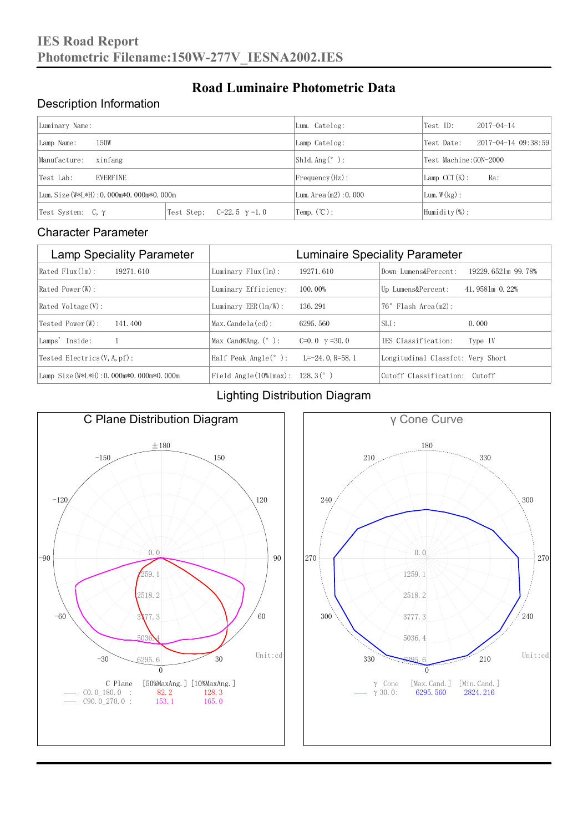### Description Information

| Luminary Name:                          |                                     | Lum. Catelog:            | Test ID:               | $2017 - 04 - 14$            |  |  |
|-----------------------------------------|-------------------------------------|--------------------------|------------------------|-----------------------------|--|--|
| 150W<br>Lamp Name:                      |                                     | Lamp Catelog:            | Test Date:             | $2017 - 04 - 14$ $09:38:59$ |  |  |
| Manufacture:<br>xinfang                 |                                     | Shld. $Ang (°)$ :        | Test Machine: GON-2000 |                             |  |  |
| <b>EVERFINE</b><br>Test Lab:            |                                     | $Frequency(Hz)$ :        | $Lamp$ CCT(K):         | Ra:                         |  |  |
| Lum. Size (W*L*H): 0.000m*0.000m*0.000m |                                     | Lum. Area $(m2)$ : 0.000 | Lum. $W(kg)$ :         |                             |  |  |
| Test System: $C, \gamma$                | Test Step:<br>$C=22.5$ $\gamma=1.0$ | Temp. $(\mathbb{C})$ :   | Humidity $(\%)$ :      |                             |  |  |

**Road Luminaire Photometric Data**

#### Character Parameter

| <b>Lamp Speciality Parameter</b>       | <b>Luminaire Speciality Parameter</b>                              |                      |                                   |                    |  |  |  |
|----------------------------------------|--------------------------------------------------------------------|----------------------|-----------------------------------|--------------------|--|--|--|
| Rated Flux(1m):<br>19271.610           | Luminary $Flux(ln)$ :                                              | 19271.610            | Down Lumens&Percent:              | 19229.6521m 99.78% |  |  |  |
| Rated Power(W):                        | Luminary Efficiency:                                               | 100.00%              | Up Lumens&Percent:                | 41,9581m 0.22%     |  |  |  |
| $Rated$ Voltage $(V)$ :                | Luminary $EER(\ln/W)$ :                                            | 136, 291             | $76°$ Flash Area $(m2)$ :         |                    |  |  |  |
| Tested Power(W):<br>141, 400           | $Max. Candela(cd)$ :                                               | 6295, 560            | $SLI$ :                           | 0.000              |  |  |  |
| Lamps' Inside:                         | Max Cand@Ang. $(°)$ :                                              | C=0.0 $\gamma$ =30.0 | TES Classification:               | Type IV            |  |  |  |
| Tested Electrics $(V, A, pf)$ :        | Half Peak Angle $(°)$ :                                            | L=-24.0.R=58.1       | Longitudinal Classfct: Very Short |                    |  |  |  |
| Lamp Size(W*L*H): 0.000m*0.000m*0.000m | Field Angle $(10\text{\%} \text{Im} \text{ax})$ : 128.3 $(^\circ)$ |                      | Cutoff Classification: Cutoff     |                    |  |  |  |

### Lighting Distribution Diagram



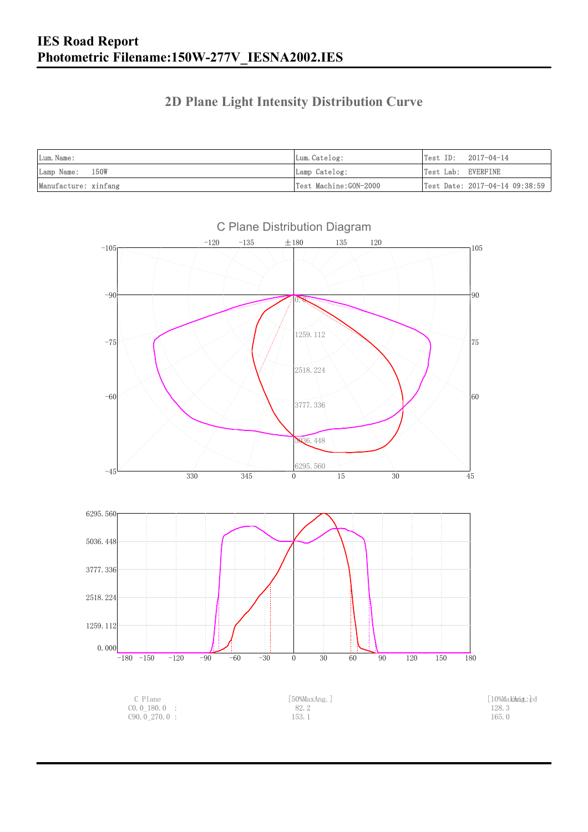## **2D Plane Light Intensity Distribution Curve**

| Lum. Name:           | Lum.Catelog:          | $Test ID: 2017-04-14$          |
|----------------------|-----------------------|--------------------------------|
| Lamp Name: 150W      | Lamp Catelog:         | Test Lab: EVERFINE             |
| Manufacture: xinfang | Test Machine:GON-2000 | Test Date: 2017-04-14 09:38:59 |

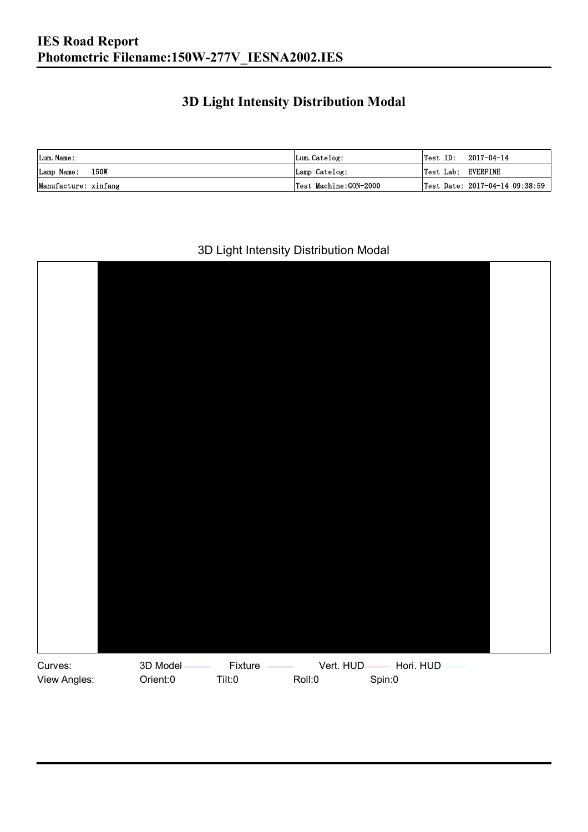## **3D Light Intensity Distribution Modal**

| Lum. Name:           | Lum.Catelog:          | $\textsf{Test ID:} \quad 2017-04-14$ |
|----------------------|-----------------------|--------------------------------------|
| Lamp Name: 150W      | Lamp Catelog:         | Test Lab: EVERFINE                   |
| Manufacture: xinfang | Test Machine:GON-2000 | Test Date: 2017-04-14 09:38:59       |

#### 3D Light Intensity Distribution Modal

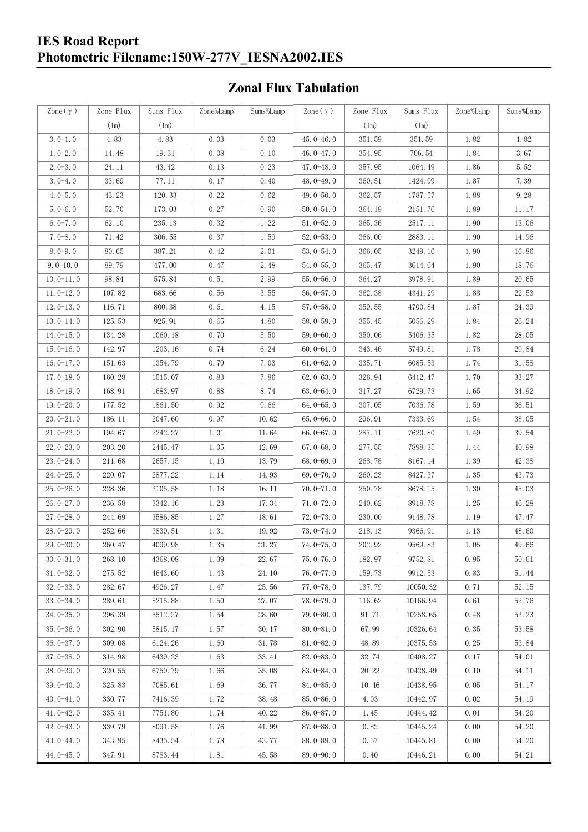## **Zonal Flux Tabulation**

| Zone $(\gamma)$ | Zone Flux     | Sums Flux     | Zone%Lamp | Sums%Lamp | Zone $(\gamma)$ | Zone Flux     | Sums Flux | Zone%Lamp | Sums%Lamp |
|-----------------|---------------|---------------|-----------|-----------|-----------------|---------------|-----------|-----------|-----------|
|                 | $(\text{lm})$ | $(\text{lm})$ |           |           |                 | $(\text{lm})$ | (1m)      |           |           |
| $0.0-1.0$       | 4.83          | 4.83          | 0.03      | 0.03      | $45.0 - 46.0$   | 351.59        | 351.59    | 1.82      | 1.82      |
| $1.0 - 2.0$     | 14.48         | 19.31         | 0.08      | 0.10      | 46.0 $-47.0$    | 354.95        | 706.54    | 1.84      | 3.67      |
| $2.0 - 3.0$     | 24.11         | 43.42         | 0.13      | 0.23      | $47.0 - 48.0$   | 357.95        | 1064.49   | 1.86      | 5.52      |
| $3.0 - 4.0$     | 33.69         | 77.11         | 0.17      | 0.40      | 48.0-49.0       | 360.51        | 1424.99   | 1.87      | 7.39      |
| $4.0 - 5.0$     | 43.23         | 120.33        | 0.22      | 0.62      | 49.0 $-50.0$    | 362.57        | 1787.57   | 1.88      | 9.28      |
| $5.0 - 6.0$     | 52.70         | 173.03        | 0.27      | 0.90      | $50.0 - 51.0$   | 364.19        | 2151.76   | 1.89      | 11.17     |
| $6.0 - 7.0$     | 62.10         | 235.13        | 0.32      | 1.22      | $51.0 - 52.0$   | 365.36        | 2517.11   | 1.90      | 13.06     |
| $7.0 - 8.0$     | 71.42         | 306.55        | 0.37      | 1.59      | $52.0 - 53.0$   | 366.00        | 2883.11   | 1.90      | 14.96     |
| $8.0 - 9.0$     | 80.65         | 387.21        | 0.42      | 2.01      | $53.0 - 54.0$   | 366.05        | 3249.16   | 1.90      | 16.86     |
| $9.0 - 10.0$    | 89.79         | 477.00        | 0.47      | 2.48      | $54.0 - 55.0$   | 365.47        | 3614.64   | 1.90      | 18.76     |
| $10.0 - 11.0$   | 98.84         | 575.84        | 0.51      | 2.99      | $55.0 - 56.0$   | 364.27        | 3978.91   | 1.89      | 20.65     |
| $11.0 - 12.0$   | 107.82        | 683.66        | 0.56      | 3.55      | $56.0 - 57.0$   | 362.38        | 4341.29   | 1.88      | 22.53     |
| $12.0 - 13.0$   | 116.71        | 800.38        | 0.61      | 4.15      | $57.0 - 58.0$   | 359.55        | 4700.84   | 1.87      | 24.39     |
| $13.0 - 14.0$   | 125.53        | 925.91        | 0.65      | 4.80      | $58.0 - 59.0$   | 355.45        | 5056.29   | 1.84      | 26.24     |
| $14.0 - 15.0$   | 134.28        | 1060.18       | 0.70      | 5.50      | $59.0 - 60.0$   | 350.06        | 5406.35   | 1.82      | 28.05     |
| $15.0 - 16.0$   | 142.97        | 1203.16       | 0.74      | 6.24      | $60.0 - 61.0$   | 343.46        | 5749.81   | 1.78      | 29.84     |
| $16.0 - 17.0$   | 151.63        | 1354.79       | 0.79      | 7.03      | $61.0 - 62.0$   | 335.71        | 6085.53   | 1.74      | 31.58     |
| $17.0 - 18.0$   | 160.28        | 1515.07       | 0.83      | 7.86      | $62.0 - 63.0$   | 326.94        | 6412.47   | 1.70      | 33.27     |
| $18.0 - 19.0$   | 168.91        | 1683.97       | 0.88      | 8.74      | $63.0 - 64.0$   | 317.27        | 6729.73   | 1.65      | 34.92     |
| $19.0 - 20.0$   | 177.52        | 1861.50       | 0.92      | 9.66      | $64.0 - 65.0$   | 307.05        | 7036.78   | 1.59      | 36.51     |
| $20.0 - 21.0$   | 186.11        | 2047.60       | 0.97      | 10.62     | $65.0 - 66.0$   | 296.91        | 7333.69   | 1.54      | 38.05     |
| $21.0 - 22.0$   | 194.67        | 2242.27       | 1.01      | 11.64     | $66.0 - 67.0$   | 287.11        | 7620.80   | 1.49      | 39.54     |
| $22.0 - 23.0$   | 203.20        | 2445.47       | 1.05      | 12.69     | $67.0 - 68.0$   | 277.55        | 7898.35   | 1.44      | 40.98     |
| $23.0 - 24.0$   | 211.68        | 2657.15       | 1.10      | 13.79     | $68.0 - 69.0$   | 268.78        | 8167.14   | 1.39      | 42.38     |
| $24.0 - 25.0$   | 220.07        | 2877.22       | 1.14      | 14.93     | 69.0 $-70.0$    | 260.23        | 8427.37   | 1.35      | 43.73     |
| $25.0 - 26.0$   | 228.36        | 3105.58       | 1.18      | 16.11     | $70.0 - 71.0$   | 250.78        | 8678.15   | 1.30      | 45.03     |
| $26.0 - 27.0$   | 236.58        | 3342.16       | 1.23      | 17.34     | $71.0 - 72.0$   | 240.62        | 8918.78   | 1.25      | 46.28     |
| $27.0 - 28.0$   | 244.69        | 3586.85       | 1.27      | 18.61     | $72.0 - 73.0$   | 230.00        | 9148.78   | 1.19      | 47.47     |
| $28.0 - 29.0$   | 252.66        | 3839.51       | 1.31      | 19.92     | $73.0 - 74.0$   | 218.13        | 9366.91   | 1.13      | 48.60     |
| 29.0-30.0       | 260.47        | 4099.98       | 1.35      | 21.27     | 74.0-75.0       | 202.92        | 9569.83   | 1.05      | 49.66     |
| $30.0 - 31.0$   | 268.10        | 4368.08       | 1.39      | 22.67     | $75.0 - 76.0$   | 182.97        | 9752.81   | 0.95      | 50.61     |
| $31.0 - 32.0$   | 275.52        | 4643.60       | 1.43      | 24.10     | 76.0-77.0       | 159.73        | 9912.53   | 0.83      | 51.44     |
| $32.0 - 33.0$   | 282.67        | 4926.27       | 1.47      | 25.56     | $77.0 - 78.0$   | 137.79        | 10050.32  | 0.71      | 52.15     |
| $33.0 - 34.0$   | 289.61        | 5215.88       | 1.50      | 27.07     | 78.0-79.0       | 116.62        | 10166.94  | 0.61      | 52.76     |
| $34.0 - 35.0$   | 296.39        | 5512.27       | 1.54      | 28.60     | $79.0 - 80.0$   | 91.71         | 10258.65  | 0.48      | 53.23     |
| $35.0 - 36.0$   | 302.90        | 5815.17       | 1.57      | 30.17     | $80.0 - 81.0$   | 67.99         | 10326.64  | 0.35      | 53.58     |
| $36.0 - 37.0$   | 309.08        | 6124.26       | 1.60      | 31.78     | $81.0 - 82.0$   | 48.89         | 10375.53  | 0.25      | 53.84     |
| $37.0 - 38.0$   | 314.98        | 6439.23       | 1.63      | 33.41     | $82.0 - 83.0$   | 32.74         | 10408.27  | 0.17      | 54.01     |
| $38.0 - 39.0$   | 320.55        | 6759.79       | 1.66      | 35.08     | $83.0 - 84.0$   | 20.22         | 10428.49  | 0.10      | 54.11     |
| $39.0 - 40.0$   | 325.83        | 7085.61       | 1.69      | 36.77     | 84.0-85.0       | 10.46         | 10438.95  | 0.05      | 54.17     |
| $40.0 - 41.0$   | 330.77        | 7416.39       | 1.72      | 38.48     | 85.0-86.0       | 4.03          | 10442.97  | 0.02      | 54.19     |
| $41.0 - 42.0$   | 335.41        | 7751.80       | 1.74      | 40.22     | $86.0 - 87.0$   | 1.45          | 10444.42  | 0.01      | 54.20     |
| $42.0 - 43.0$   | 339.79        | 8091.58       | 1.76      | 41.99     | $87.0 - 88.0$   | 0.82          | 10445.24  | 0.00      | 54.20     |
| $43.0 - 44.0$   | 343.95        | 8435.54       | 1.78      | 43.77     | 88.0-89.0       | 0.57          | 10445.81  | 0.00      | 54.20     |
| $44.0 - 45.0$   | 347.91        | 8783.44       | 1.81      | 45.58     | $89.0 - 90.0$   | 0.40          | 10446.21  | 0.00      | 54.21     |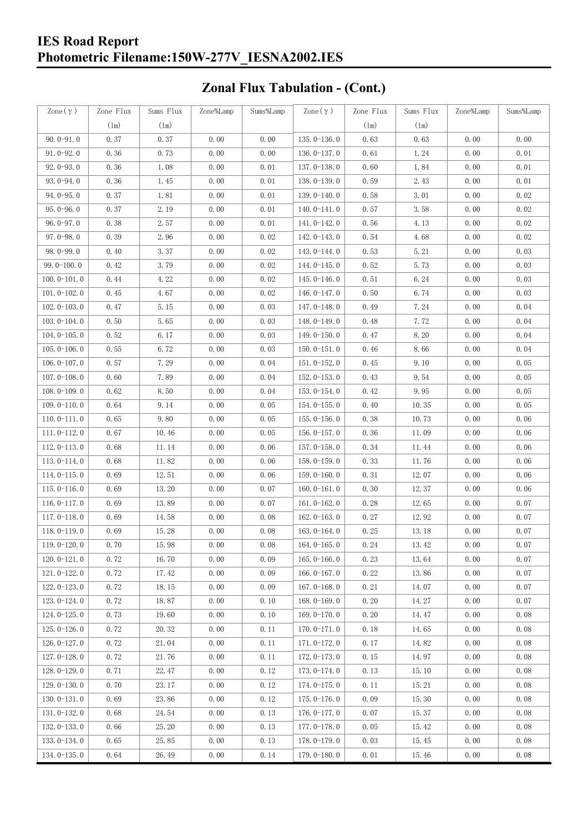# **Zonal Flux Tabulation - (Cont.)**

| $\text{Zone}(\gamma)$ | Zone Flux | Sums Flux     | Zone%Lamp | Sums%Lamp | Zone $(\gamma)$ | Zone Flux     | Sums Flux | Zone%Lamp | Sums%Lamp |
|-----------------------|-----------|---------------|-----------|-----------|-----------------|---------------|-----------|-----------|-----------|
|                       | (1m)      | $(\text{lm})$ |           |           |                 | $(\text{lm})$ | (1m)      |           |           |
| $90.0 - 91.0$         | 0.37      | 0.37          | 0.00      | 0.00      | $135.0 - 136.0$ | 0.63          | 0.63      | 0.00      | 0.00      |
| $91.0 - 92.0$         | 0.36      | 0.73          | 0.00      | 0.00      | $136.0 - 137.0$ | 0.61          | 1.24      | 0.00      | 0.01      |
| $92.0 - 93.0$         | 0.36      | 1.08          | 0.00      | 0.01      | 137.0-138.0     | 0.60          | 1.84      | 0.00      | 0.01      |
| $93.0 - 94.0$         | 0.36      | 1.45          | 0.00      | 0.01      | 138.0-139.0     | 0.59          | 2.43      | 0.00      | 0.01      |
| $94.0 - 95.0$         | 0.37      | 1.81          | 0.00      | 0.01      | 139.0-140.0     | 0.58          | 3.01      | 0.00      | 0.02      |
| $95.0 - 96.0$         | 0.37      | 2.19          | 0.00      | 0.01      | $140.0 - 141.0$ | 0.57          | 3.58      | 0.00      | 0.02      |
| $96.0 - 97.0$         | 0.38      | 2.57          | 0.00      | 0.01      | 141.0-142.0     | 0.56          | 4.13      | 0.00      | 0.02      |
| $97.0 - 98.0$         | 0.39      | 2.96          | 0.00      | 0.02      | 142.0-143.0     | 0.54          | 4.68      | 0.00      | 0.02      |
| $98.0 - 99.0$         | 0.40      | 3.37          | 0.00      | 0.02      | 143.0-144.0     | 0.53          | 5.21      | 0.00      | 0.03      |
| $99.0 - 100.0$        | 0.42      | 3.79          | 0.00      | 0.02      | $144.0 - 145.0$ | 0.52          | 5.73      | 0.00      | 0.03      |
| $100.0 - 101.0$       | 0.44      | 4.22          | 0.00      | 0.02      | $145.0 - 146.0$ | 0.51          | 6.24      | 0.00      | 0.03      |
| $101.0 - 102.0$       | 0.45      | 4.67          | 0.00      | 0.02      | $146.0 - 147.0$ | 0.50          | 6.74      | 0.00      | 0.03      |
| $102.0 - 103.0$       | 0.47      | 5.15          | 0.00      | 0.03      | 147.0-148.0     | 0.49          | 7.24      | 0.00      | 0.04      |
| $103.0 - 104.0$       | 0.50      | 5.65          | 0.00      | 0.03      | 148.0-149.0     | 0.48          | 7.72      | 0.00      | 0.04      |
| $104.0 - 105.0$       | 0.52      | 6.17          | 0.00      | 0.03      | $149.0 - 150.0$ | 0.47          | 8.20      | 0.00      | 0.04      |
| $105.0 - 106.0$       | 0.55      | 6.72          | 0.00      | 0.03      | $150.0 - 151.0$ | 0.46          | 8.66      | 0.00      | 0.04      |
| $106.0 - 107.0$       | 0.57      | 7.29          | 0.00      | 0.04      | $151.0 - 152.0$ | 0.45          | 9.10      | 0.00      | 0.05      |
| $107.0 - 108.0$       | 0.60      | 7.89          | 0.00      | 0.04      | $152.0 - 153.0$ | 0.43          | 9.54      | 0.00      | 0.05      |
| $108.0 - 109.0$       | 0.62      | 8.50          | 0.00      | 0.04      | $153.0 - 154.0$ | 0.42          | 9.95      | 0.00      | 0.05      |
| $109.0 - 110.0$       | 0.64      | 9.14          | 0.00      | 0.05      | 154.0-155.0     | 0.40          | 10.35     | 0.00      | 0.05      |
| $110.0 - 111.0$       | 0.65      | 9.80          | 0.00      | 0.05      | $155.0 - 156.0$ | 0.38          | 10.73     | 0.00      | 0.06      |
| $111.0 - 112.0$       | 0.67      | 10.46         | 0.00      | 0.05      | $156.0 - 157.0$ | 0.36          | 11.09     | 0.00      | 0.06      |
| $112.0 - 113.0$       | 0.68      | 11.14         | 0.00      | 0.06      | $157.0 - 158.0$ | 0.34          | 11.44     | 0.00      | 0.06      |
| $113.0 - 114.0$       | 0.68      | 11.82         | 0.00      | 0.06      | $158.0 - 159.0$ | 0.33          | 11.76     | 0.00      | 0.06      |
| $114.0 - 115.0$       | 0.69      | 12.51         | 0.00      | 0.06      | $159.0 - 160.0$ | 0.31          | 12.07     | 0.00      | 0.06      |
| $115.0 - 116.0$       | 0.69      | 13.20         | 0.00      | 0.07      | $160.0 - 161.0$ | 0.30          | 12.37     | 0.00      | 0.06      |
| $116.0 - 117.0$       | 0.69      | 13.89         | 0.00      | 0.07      | $161.0 - 162.0$ | 0.28          | 12.65     | 0.00      | 0.07      |
| $117.0 - 118.0$       | 0.69      | 14.58         | 0.00      | 0.08      | $162.0 - 163.0$ | 0.27          | 12.92     | 0.00      | 0.07      |
| $118.0 - 119.0$       | 0.69      | 15.28         | 0.00      | 0.08      | $163.0 - 164.0$ | 0.25          | 13.18     | 0.00      | 0.07      |
| $119.0 - 120.0$       | 0.70      | 15.98         | 0.00      | 0.08      | $164.0 - 165.0$ | 0.24          | 13.42     | 0.00      | 0.07      |
| $120.0 - 121.0$       | 0.72      | 16.70         | 0.00      | 0.09      | $165.0 - 166.0$ | 0.23          | 13.64     | 0.00      | 0.07      |
| $121.0 - 122.0$       | 0.72      | 17.42         | 0.00      | 0.09      | $166.0 - 167.0$ | 0.22          | 13.86     | 0.00      | 0.07      |
| $122.0 - 123.0$       | 0.72      | 18.15         | 0.00      | 0.09      | $167.0 - 168.0$ | 0.21          | 14.07     | 0.00      | 0.07      |
| $123.0 - 124.0$       | 0.72      | 18.87         | 0.00      | 0.10      | $168.0 - 169.0$ | 0.20          | 14.27     | 0.00      | 0.07      |
| $124.0 - 125.0$       | 0.73      | 19.60         | 0.00      | 0.10      | 169.0-170.0     | 0.20          | 14.47     | 0.00      | 0.08      |
| $125.0 - 126.0$       | 0.72      | 20.32         | 0.00      | 0.11      | $170.0 - 171.0$ | 0.18          | 14.65     | 0.00      | 0.08      |
| $126.0 - 127.0$       | 0.72      | 21.04         | 0.00      | 0.11      | 171.0-172.0     | 0.17          | 14.82     | 0.00      | 0.08      |
| $127.0 - 128.0$       | 0.72      | 21.76         | 0.00      | 0.11      | 172.0-173.0     | 0.15          | 14.97     | 0.00      | 0.08      |
| 128.0-129.0           | 0.71      | 22.47         | 0.00      | 0.12      | 173.0-174.0     | 0.13          | 15.10     | 0.00      | 0.08      |
| $129.0 - 130.0$       | 0.70      | 23.17         | 0.00      | 0.12      | 174.0-175.0     | 0.11          | 15.21     | 0.00      | 0.08      |
| $130.0 - 131.0$       | 0.69      | 23.86         | 0.00      | 0.12      | $175.0 - 176.0$ | 0.09          | 15.30     | 0.00      | 0.08      |
| $131.0 - 132.0$       | 0.68      | 24.54         | 0.00      | 0.13      | $176.0 - 177.0$ | 0.07          | 15.37     | 0.00      | 0.08      |
| $132.0 - 133.0$       | 0.66      | 25.20         | 0.00      | 0.13      | 177.0-178.0     | 0.05          | 15.42     | 0.00      | 0.08      |
| $133.0 - 134.0$       | 0.65      | 25.85         | 0.00      | 0.13      | 178.0-179.0     | 0.03          | 15.45     | 0.00      | 0.08      |
| $134.0 - 135.0$       | 0.64      | 26.49         | 0.00      | 0.14      | $179.0 - 180.0$ | 0.01          | 15.46     | 0.00      | 0.08      |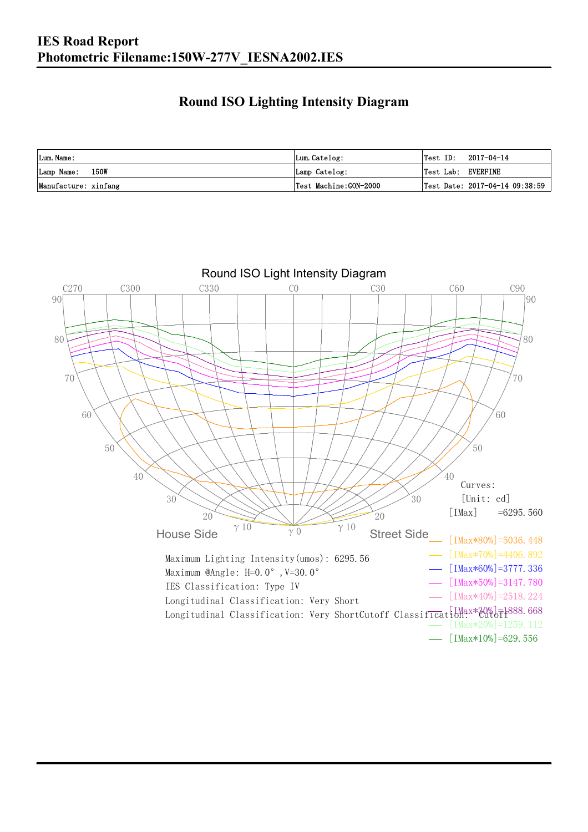## **Round ISO Lighting Intensity Diagram**

| Lum. Name:           | Lum.Catelog:          |                    | $\textsf{Test ID:} \quad 2017-04-14$ |
|----------------------|-----------------------|--------------------|--------------------------------------|
| Lamp Name: 150W      | Lamp Catelog:         | Test Lab: EVERFINE |                                      |
| Manufacture: xinfang | Test Machine:GON-2000 |                    | Test Date: 2017-04-14 09:38:59       |

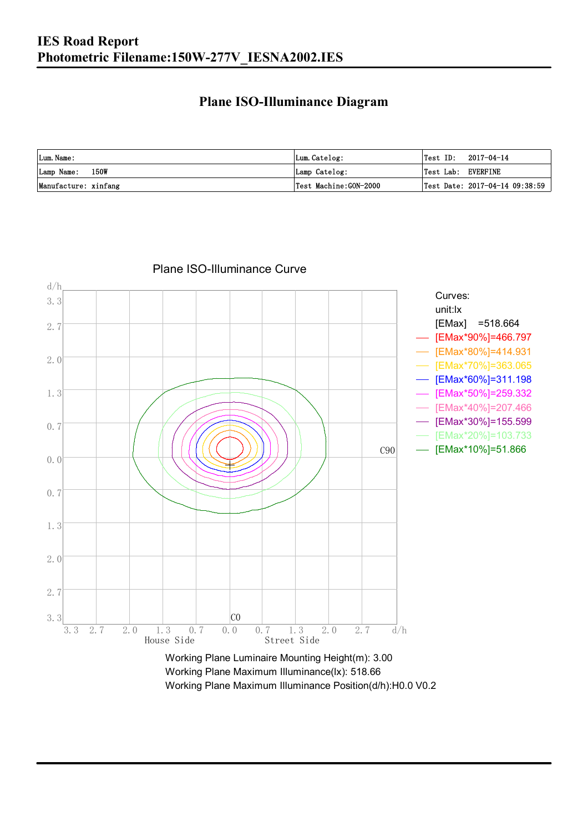### **Plane ISO-Illuminance Diagram**

| Lum. Name:           | Lum.Catelog:          |                    | $\textsf{Test ID:} \quad 2017-04-14$ |
|----------------------|-----------------------|--------------------|--------------------------------------|
| Lamp Name: 150W      | Lamp Catelog:         | Test Lab: EVERFINE |                                      |
| Manufacture: xinfang | Test Machine:GON-2000 |                    | Test Date: 2017-04-14 09:38:59       |



#### Plane ISO-Illuminance Curve

Working Plane Maximum Illuminance(lx): 518.66 Working Plane Maximum Illuminance Position(d/h):H0.0 V0.2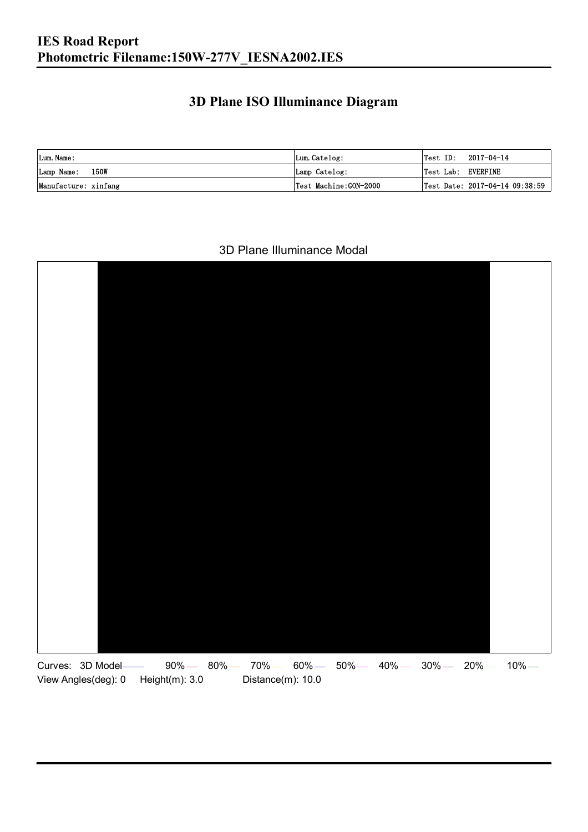## **3D Plane ISO Illuminance Diagram**

| Lum. Name:           | Lum.Catelog:          | $\textsf{Test ID:} \quad 2017-04-14$ |                                |
|----------------------|-----------------------|--------------------------------------|--------------------------------|
| Lamp Name: 150W      | Lamp Catelog:         | Test Lab: EVERFINE                   |                                |
| Manufacture: xinfang | Test Machine:GON-2000 |                                      | Test Date: 2017-04-14 09:38:59 |

#### 3D Plane Illuminance Modal

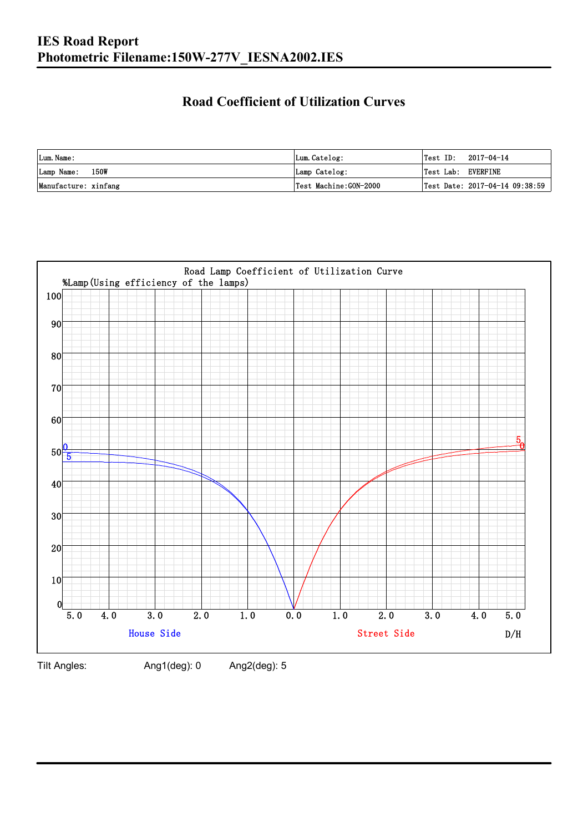## **Road Coefficient of Utilization Curves**

| Lum. Name:           | Lum.Catelog:          | Test ID:           | 2017-04-14                     |
|----------------------|-----------------------|--------------------|--------------------------------|
| Lamp Name: 150W      | Lamp Catelog:         | Test Lab: EVERFINE |                                |
| Manufacture: xinfang | Test Machine:GON-2000 |                    | Test Date: 2017-04-14 09:38:59 |



Tilt Angles: Ang1(deg): 0 Ang2(deg): 5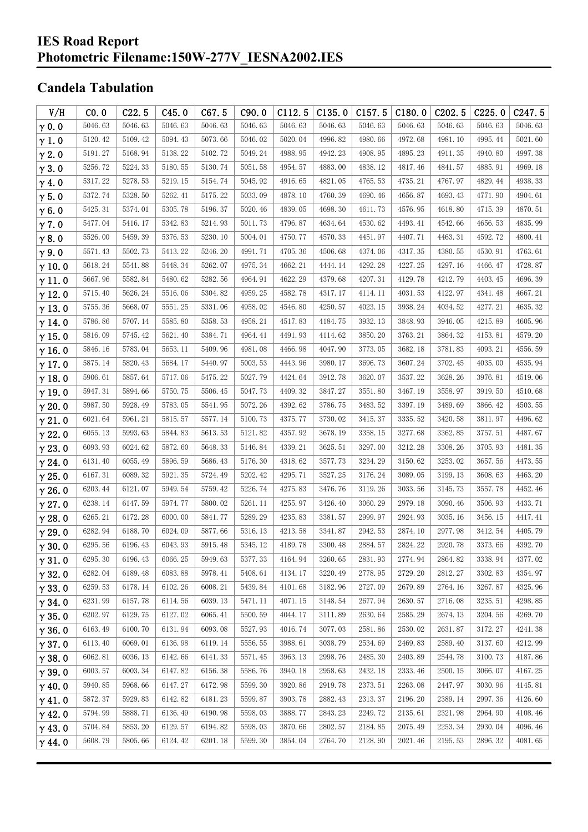## **Candela Tabulation**

| V/H           | CO.0    | C22.5   | C45.0   | C67.5   | C90.0   | C112.5  | C135.0  | C157.5                  | C180.0  | C <sub>2</sub> 02.5 | C225.0  | C247.5  |
|---------------|---------|---------|---------|---------|---------|---------|---------|-------------------------|---------|---------------------|---------|---------|
| $\gamma$ 0.0  | 5046.63 | 5046.63 | 5046.63 | 5046.63 | 5046.63 | 5046.63 | 5046.63 | 5046.63                 | 5046.63 | 5046.63             | 5046.63 | 5046.63 |
| $\gamma$ 1.0  | 5120.42 | 5109.42 | 5094.43 | 5073.66 | 5046.02 | 5020.04 | 4996.82 | 4980.66                 | 4972.68 | 4981.10             | 4995.44 | 5021.60 |
| $\gamma$ 2.0  | 5191.27 | 5168.94 | 5138.22 | 5102.72 | 5049.24 | 4988.95 | 4942.23 | 4908.95                 | 4895.23 | 4911.35             | 4940.80 | 4997.38 |
| $\gamma$ 3.0  | 5256.72 | 5224.33 | 5180.55 | 5130.74 | 5051.58 | 4954.57 | 4883.00 | 4838.12                 | 4817.46 | 4841.57             | 4885.91 | 4969.18 |
| $\gamma$ 4.0  | 5317.22 | 5278.53 | 5219.15 | 5154.74 | 5045.92 | 4916.65 | 4821.05 | 4765.53                 | 4735.21 | 4767.97             | 4829.44 | 4938.33 |
| $\gamma$ 5.0  | 5372.74 | 5328.50 | 5262.41 | 5175.22 | 5033.09 | 4878.10 | 4760.39 | 4690.46                 | 4656.87 | 4693.43             | 4771.90 | 4904.61 |
| $\gamma$ 6.0  | 5425.31 | 5374.01 | 5305.78 | 5196.37 | 5020.46 | 4839.05 | 4698.30 | 4611.73                 | 4576.95 | 4618.80             | 4715.39 | 4870.51 |
| $\gamma$ 7.0  | 5477.04 | 5416.17 | 5342.83 | 5214.93 | 5011.73 | 4796.87 | 4634.64 | 4530.62                 | 4493.41 | 4542.66             | 4656.53 | 4835.99 |
| $\gamma$ 8.0  | 5526.00 | 5459.39 | 5376.53 | 5230.10 | 5004.01 | 4750.77 | 4570.33 | 4451.97                 | 4407.71 | 4463.31             | 4592.72 | 4800.41 |
| $\gamma$ 9.0  | 5571.43 | 5502.73 | 5413.22 | 5246.20 | 4991.71 | 4705.36 | 4506.68 | 4374.06                 | 4317.35 | 4380.55             | 4530.91 | 4763.61 |
| $\gamma$ 10.0 | 5618.24 | 5541.88 | 5448.34 | 5262.07 | 4975.34 | 4662.21 | 4444.14 | 4292.28                 | 4227.25 | 4297.16             | 4466.47 | 4728.87 |
| $\gamma$ 11.0 | 5667.96 | 5582.84 | 5480.62 | 5282.56 | 4964.91 | 4622.29 | 4379.68 | 4207.31                 | 4129.78 | 4212.79             | 4403.45 | 4696.39 |
| $\gamma$ 12.0 | 5715.40 | 5626.24 | 5516.06 | 5304.82 | 4959.25 | 4582.78 | 4317.17 | 4114.11                 | 4031.53 | 4122.97             | 4341.48 | 4667.21 |
| $\gamma$ 13.0 | 5755.36 | 5668.07 | 5551.25 | 5331.06 | 4958.02 | 4546.80 | 4250.57 | 4023.15                 | 3938.24 | 4034.52             | 4277.21 | 4635.32 |
| $\gamma$ 14.0 | 5786.86 | 5707.14 | 5585.80 | 5358.53 | 4958.21 | 4517.83 | 4184.75 | 3932.13                 | 3848.93 | 3946.05             | 4215.89 | 4605.96 |
| $\gamma$ 15.0 | 5816.09 | 5745.42 | 5621.40 | 5384.71 | 4964.41 | 4491.93 | 4114.62 | 3850.20                 | 3763.21 | 3864.32             | 4153.81 | 4579.20 |
| $\gamma$ 16.0 | 5846.16 | 5783.04 | 5653.11 | 5409.96 | 4981.08 | 4466.98 | 4047.90 | 3773.05                 | 3682.18 | 3781.83             | 4093.21 | 4556.59 |
| $\gamma$ 17.0 | 5875.14 | 5820.43 | 5684.17 | 5440.97 | 5003.53 | 4443.96 | 3980.17 | 3696.73                 | 3607.24 | 3702.45             | 4035.00 | 4535.94 |
| $\gamma$ 18.0 | 5906.61 | 5857.64 | 5717.06 | 5475.22 | 5027.79 | 4424.64 | 3912.78 | 3620.07                 | 3537.22 | 3628.26             | 3976.81 | 4519.06 |
| $\gamma$ 19.0 | 5947.31 | 5894.66 | 5750.75 | 5506.45 | 5047.73 | 4409.32 | 3847.27 | 3551.80                 | 3467.19 | 3558.97             | 3919.50 | 4510.68 |
| $\gamma$ 20.0 | 5987.50 | 5928.49 | 5783.05 | 5541.95 | 5072.26 | 4392.62 | 3786.75 | 3483.52                 | 3397.19 | 3489.69             | 3866.42 | 4503.55 |
| $\gamma$ 21.0 | 6021.64 | 5961.21 | 5815.57 | 5577.14 | 5100.73 | 4375.77 | 3730.02 | 3415.37                 | 3335.52 | 3420.58             | 3811.97 | 4496.62 |
| $\gamma$ 22.0 | 6055.13 | 5993.63 | 5844.83 | 5613.53 | 5121.82 | 4357.92 | 3678.19 | 3358.15                 | 3277.68 | 3362.85             | 3757.51 | 4487.67 |
| $\gamma$ 23.0 | 6093.93 | 6024.62 | 5872.60 | 5648.33 | 5146.84 | 4339.21 | 3625.51 | 3297.00                 | 3212.28 | 3308.26             | 3705.93 | 4481.35 |
| $\gamma$ 24.0 | 6131.40 | 6055.49 | 5896.59 | 5686.43 | 5176.30 | 4318.62 | 3577.73 | 3234.29                 | 3150.62 | 3253.02             | 3657.56 | 4473.55 |
| $\gamma$ 25.0 | 6167.31 | 6089.32 | 5921.35 | 5724.49 | 5202.42 | 4295.71 | 3527.25 | 3176.24                 | 3089.05 | 3199.13             | 3608.63 | 4463.20 |
| $\gamma$ 26.0 | 6203.44 | 6121.07 | 5949.54 | 5759.42 | 5226.74 | 4275.83 | 3476.76 | 3119.26                 | 3033.56 | 3145.73             | 3557.78 | 4452.46 |
| $\gamma$ 27.0 | 6238.14 | 6147.59 | 5974.77 | 5800.02 | 5261.11 | 4255.97 | 3426.40 | 3060.29                 | 2979.18 | 3090.46             | 3506.93 | 4433.71 |
| $\gamma$ 28.0 | 6265.21 | 6172.28 | 6000.00 | 5841.77 | 5289.29 | 4235.83 | 3381.57 | 2999.97                 | 2924.93 | 3035.16             | 3456.15 | 4417.41 |
| $\gamma$ 29.0 | 6282.94 | 6188.70 | 6024.09 | 5877.66 | 5316.13 | 4213.58 | 3341.87 | 2942.53                 | 2874.10 | 2977.98             | 3412.54 | 4405.79 |
| $\gamma$ 30.0 | 6295.56 | 6196.43 | 6043.93 | 5915.48 | 5345.12 | 4189.78 | 3300.48 | $2884.\,\allowbreak 57$ | 2824.22 | 2920.78             | 3373.66 | 4392.70 |
| $\gamma$ 31.0 | 6295.30 | 6196.43 | 6066.25 | 5949.63 | 5377.33 | 4164.94 | 3260.65 | 2831.93                 | 2774.94 | 2864.82             | 3338.94 | 4377.02 |
| $\gamma$ 32.0 | 6282.04 | 6189.48 | 6083.88 | 5978.41 | 5408.61 | 4134.17 | 3220.49 | 2778.95                 | 2729.20 | 2812.27             | 3302.83 | 4354.97 |
| $\gamma$ 33.0 | 6259.53 | 6178.14 | 6102.26 | 6008.21 | 5439.84 | 4101.68 | 3182.96 | 2727.09                 | 2679.89 | 2764.16             | 3267.87 | 4325.96 |
| $\gamma$ 34.0 | 6231.99 | 6157.78 | 6114.56 | 6039.13 | 5471.11 | 4071.15 | 3148.54 | 2677.94                 | 2630.57 | 2716.08             | 3235.51 | 4298.85 |
| $\gamma$ 35.0 | 6202.97 | 6129.75 | 6127.02 | 6065.41 | 5500.59 | 4044.17 | 3111.89 | 2630.64                 | 2585.29 | 2674.13             | 3204.56 | 4269.70 |
| $\gamma$ 36.0 | 6163.49 | 6100.70 | 6131.94 | 6093.08 | 5527.93 | 4016.74 | 3077.03 | 2581.86                 | 2530.02 | 2631.87             | 3172.27 | 4241.38 |
| $\gamma$ 37.0 | 6113.40 | 6069.01 | 6136.98 | 6119.14 | 5556.55 | 3988.61 | 3038.79 | 2534.69                 | 2469.83 | 2589.40             | 3137.60 | 4212.99 |
| $\gamma$ 38.0 | 6062.81 | 6036.13 | 6142.66 | 6141.33 | 5571.45 | 3963.13 | 2998.76 | 2485.30                 | 2403.89 | 2544.78             | 3100.73 | 4187.86 |
| $\gamma$ 39.0 | 6003.57 | 6003.34 | 6147.82 | 6156.38 | 5586.76 | 3940.18 | 2958.63 | 2432.18                 | 2333.46 | 2500.15             | 3066.07 | 4167.25 |
| $\gamma$ 40.0 | 5940.85 | 5968.66 | 6147.27 | 6172.98 | 5599.30 | 3920.86 | 2919.78 | 2373.51                 | 2263.08 | 2447.97             | 3030.96 | 4145.81 |
| $\gamma$ 41.0 | 5872.37 | 5929.83 | 6142.82 | 6181.23 | 5599.87 | 3903.78 | 2882.43 | 2313.37                 | 2196.20 | 2389.14             | 2997.36 | 4126.60 |
| $\gamma$ 42.0 | 5794.99 | 5888.71 | 6136.49 | 6190.98 | 5598.03 | 3888.77 | 2843.23 | 2249.72                 | 2135.61 | 2321.98             | 2964.90 | 4108.46 |
| $\gamma$ 43.0 | 5704.84 | 5853.20 | 6129.57 | 6194.82 | 5598.03 | 3870.66 | 2802.57 | 2184.85                 | 2075.49 | 2253.34             | 2930.04 | 4096.46 |
| $\gamma$ 44.0 | 5608.79 | 5805.66 | 6124.42 | 6201.18 | 5599.30 | 3854.04 | 2764.70 | 2128.90                 | 2021.46 | 2195.53             | 2896.32 | 4081.65 |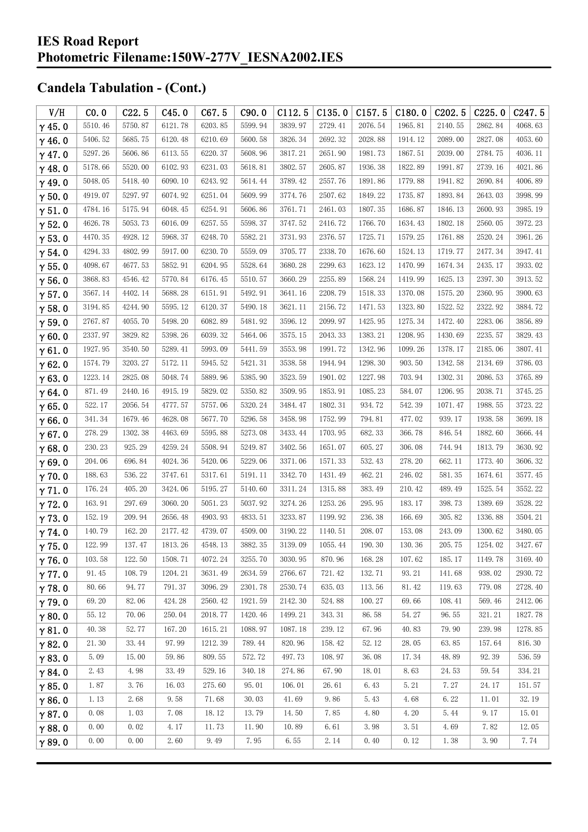| V/H           | CO.0    | C22.5   | C45.0   | C67.5   | C90.0   | C112.5  | C135.0  | C157.5  | C180.0  | C <sub>202.5</sub> | C225.0  | C <sub>247.5</sub> |
|---------------|---------|---------|---------|---------|---------|---------|---------|---------|---------|--------------------|---------|--------------------|
| $\gamma$ 45.0 | 5510.46 | 5750.87 | 6121.78 | 6203.85 | 5599.94 | 3839.97 | 2729.41 | 2076.54 | 1965.81 | 2140.55            | 2862.84 | 4068.63            |
| $\gamma$ 46.0 | 5406.52 | 5685.75 | 6120.48 | 6210.69 | 5600.58 | 3826.34 | 2692.32 | 2028.88 | 1914.12 | 2089.00            | 2827.08 | 4053.60            |
| $\gamma$ 47.0 | 5297.26 | 5606.86 | 6113.55 | 6220.37 | 5608.96 | 3817.21 | 2651.90 | 1981.73 | 1867.51 | 2039.00            | 2784.75 | 4036.11            |
| $\gamma$ 48.0 | 5178.66 | 5520.00 | 6102.93 | 6231.03 | 5618.81 | 3802.57 | 2605.87 | 1936.38 | 1822.89 | 1991.87            | 2739.16 | 4021.86            |
| $\gamma$ 49.0 | 5048.05 | 5418.40 | 6090.10 | 6243.92 | 5614.44 | 3789.42 | 2557.76 | 1891.86 | 1779.88 | 1941.82            | 2690.84 | 4006.89            |
| $\gamma$ 50.0 | 4919.07 | 5297.97 | 6074.92 | 6251.04 | 5609.99 | 3774.76 | 2507.62 | 1849.22 | 1735.87 | 1893.84            | 2643.03 | 3998.99            |
| $\gamma$ 51.0 | 4784.16 | 5175.94 | 6048.45 | 6254.91 | 5606.86 | 3761.71 | 2461.03 | 1807.35 | 1686.87 | 1846.13            | 2600.93 | 3985.19            |
| $\gamma$ 52.0 | 4626.78 | 5053.73 | 6016.09 | 6257.55 | 5598.37 | 3747.52 | 2416.72 | 1766.70 | 1634.43 | 1802.18            | 2560.05 | 3972.23            |
| $\gamma$ 53.0 | 4470.35 | 4928.12 | 5968.37 | 6248.70 | 5582.21 | 3731.93 | 2376.57 | 1725.71 | 1579.25 | 1761.88            | 2520.24 | 3961.26            |
| $\gamma$ 54.0 | 4294.33 | 4802.99 | 5917.00 | 6230.70 | 5559.09 | 3705.77 | 2338.70 | 1676.60 | 1524.13 | 1719.77            | 2477.34 | 3947.41            |
| $\gamma$ 55.0 | 4098.67 | 4677.53 | 5852.91 | 6204.95 | 5528.64 | 3680.28 | 2299.63 | 1623.12 | 1470.99 | 1674.34            | 2435.17 | 3933.02            |
| $\gamma$ 56.0 | 3868.83 | 4546.42 | 5770.84 | 6176.45 | 5510.57 | 3660.29 | 2255.89 | 1568.24 | 1419.99 | 1625.13            | 2397.30 | 3913.52            |
| $\gamma$ 57.0 | 3567.14 | 4402.14 | 5688.28 | 6151.91 | 5492.91 | 3641.16 | 2208.79 | 1518.33 | 1370.08 | 1575.20            | 2360.95 | 3900.63            |
| $\gamma$ 58.0 | 3194.85 | 4244.90 | 5595.12 | 6120.37 | 5490.18 | 3621.11 | 2156.72 | 1471.53 | 1323.80 | 1522.52            | 2322.92 | 3884.72            |
| $\gamma$ 59.0 | 2767.87 | 4055.70 | 5498.20 | 6082.89 | 5481.92 | 3596.12 | 2099.97 | 1425.95 | 1275.34 | 1472.40            | 2283.06 | 3856.89            |
| $\gamma$ 60.0 | 2337.97 | 3829.82 | 5398.26 | 6039.32 | 5464.06 | 3575.15 | 2043.33 | 1383.21 | 1208.95 | 1430.69            | 2235.57 | 3829.43            |
| $\gamma$ 61.0 | 1927.95 | 3540.50 | 5289.41 | 5993.09 | 5441.59 | 3553.98 | 1991.72 | 1342.96 | 1099.26 | 1378.17            | 2185.06 | 3807.41            |
| $\gamma$ 62.0 | 1574.79 | 3203.27 | 5172.11 | 5945.52 | 5421.31 | 3538.58 | 1944.94 | 1298.30 | 903.50  | 1342.58            | 2134.69 | 3786.03            |
| $\gamma$ 63.0 | 1223.14 | 2825.08 | 5048.74 | 5889.96 | 5385.90 | 3523.59 | 1901.02 | 1227.98 | 703.94  | 1302.31            | 2086.53 | 3765.89            |
| $\gamma$ 64.0 | 871.49  | 2440.16 | 4915.19 | 5829.02 | 5350.82 | 3509.95 | 1853.91 | 1085.23 | 584.07  | 1206.95            | 2038.71 | 3745.25            |
| $\gamma$ 65.0 | 522.17  | 2056.54 | 4777.57 | 5757.06 | 5320.24 | 3484.47 | 1802.31 | 934.72  | 542.39  | 1071.47            | 1988.55 | 3723.22            |
| $\gamma$ 66.0 | 341.34  | 1679.46 | 4628.08 | 5677.70 | 5296.58 | 3458.98 | 1752.99 | 794.81  | 477.02  | 939.17             | 1938.58 | 3699.18            |
| $\gamma$ 67.0 | 278.29  | 1302.38 | 4463.69 | 5595.88 | 5273.08 | 3433.44 | 1703.95 | 682.33  | 366.78  | 846.54             | 1882.60 | 3666.44            |
| $\gamma$ 68.0 | 230.23  | 925.29  | 4259.24 | 5508.94 | 5249.87 | 3402.56 | 1651.07 | 605.27  | 306.08  | 744.94             | 1813.79 | 3630.92            |
| $\gamma$ 69.0 | 204.06  | 696.84  | 4024.36 | 5420.06 | 5229.06 | 3371.06 | 1571.33 | 532.43  | 278.20  | 662.11             | 1773.40 | 3606.32            |
| $\gamma$ 70.0 | 188.63  | 536.22  | 3747.61 | 5317.61 | 5191.11 | 3342.70 | 1431.49 | 462.21  | 246.02  | 581.35             | 1674.61 | 3577.45            |
| $\gamma$ 71.0 | 176.24  | 405.20  | 3424.06 | 5195.27 | 5140.60 | 3311.24 | 1315.88 | 383.49  | 210.42  | 489.49             | 1525.54 | 3552.22            |
| $\gamma$ 72.0 | 163.91  | 297.69  | 3060.20 | 5051.23 | 5037.92 | 3274.26 | 1253.26 | 295.95  | 183.17  | 398.73             | 1389.69 | 3528.22            |
| $\gamma$ 73.0 | 152.19  | 209.94  | 2656.48 | 4903.93 | 4833.51 | 3233.87 | 1199.92 | 236.38  | 166.69  | 305.82             | 1336.88 | 3504.21            |
| $\gamma$ 74.0 | 140.79  | 162.20  | 2177.42 | 4739.07 | 4509.00 | 3190.22 | 1140.51 | 208.07  | 153.08  | 243.09             | 1300.62 | 3480.05            |
| $\gamma$ 75.0 | 122.99  | 137.47  | 1813.26 | 4548.13 | 3882.35 | 3139.09 | 1055.44 | 190.30  | 130.36  | 205.75             | 1254.02 | 3427.67            |
| $\gamma$ 76.0 | 103.58  | 122.50  | 1508.71 | 4072.24 | 3255.70 | 3030.95 | 870.96  | 168.28  | 107.62  | 185.17             | 1149.78 | 3169.40            |
| $\gamma$ 77.0 | 91.45   | 108.79  | 1204.21 | 3631.49 | 2634.59 | 2766.67 | 721.42  | 132.71  | 93.21   | 141.68             | 938.02  | 2930.72            |
| $\gamma$ 78.0 | 80.66   | 94.77   | 791.37  | 3096.29 | 2301.78 | 2530.74 | 635.03  | 113.56  | 81.42   | 119.63             | 779.08  | 2728.40            |
| $\gamma$ 79.0 | 69.20   | 82.06   | 424.28  | 2560.42 | 1921.59 | 2142.30 | 524.88  | 100.27  | 69.66   | 108.41             | 569.46  | 2412.06            |
| $\gamma$ 80.0 | 55.12   | 70.06   | 250.04  | 2018.77 | 1420.46 | 1499.21 | 343.31  | 86.58   | 54.27   | 96.55              | 321.21  | 1827.78            |
| $\gamma$ 81.0 | 40.38   | 52.77   | 167.20  | 1615.21 | 1088.97 | 1087.18 | 239.12  | 67.96   | 40.83   | 79.90              | 239.98  | 1278.85            |
| $\gamma$ 82.0 | 21.30   | 33.44   | 97.99   | 1212.39 | 789.44  | 820.96  | 158.42  | 52.12   | 28.05   | 63.85              | 157.64  | 816.30             |
| $\gamma$ 83.0 | 5.09    | 15.00   | 59.86   | 809.55  | 572.72  | 497.73  | 108.97  | 36.08   | 17.34   | 48.89              | 92.39   | 536.59             |
| $\gamma$ 84.0 | 2.43    | 4.98    | 33.49   | 529.16  | 340.18  | 274.86  | 67.90   | 18.01   | 8.63    | 24.53              | 59.54   | 334.21             |
| $\gamma$ 85.0 | 1.87    | 3.76    | 16.03   | 275.60  | 95.01   | 106.01  | 26.61   | 6.43    | 5.21    | 7.27               | 24.17   | 151.57             |
| $\gamma$ 86.0 | 1.13    | 2.68    | 9.58    | 71.68   | 30.03   | 41.69   | 9.86    | 5.43    | 4.68    | 6.22               | 11.01   | 32.19              |
| $\gamma$ 87.0 | 0.08    | 1.03    | 7.08    | 18.12   | 13.79   | 14.50   | 7.85    | 4.80    | 4.20    | 5.44               | 9.17    | 15.01              |
| $\gamma$ 88.0 | 0.00    | 0.02    | 4.17    | 11.73   | 11.90   | 10.89   | 6.61    | 3.98    | 3.51    | 4.69               | 7.82    | 12.05              |
| $\gamma$ 89.0 | 0.00    | 0.00    | 2.60    | 9.49    | 7.95    | 6.55    | 2.14    | 0.40    | 0.12    | 1.38               | 3.90    | 7.74               |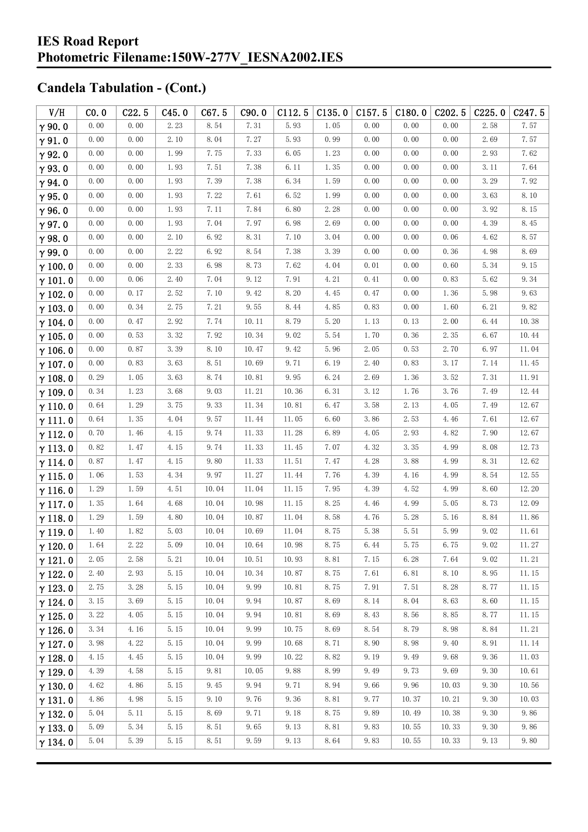| V/H            | CO.0 | C22.5 | C45.0    | C67.5 | C90.0 | C112.5 | C135.0 | C157.5 | C180.0 | C <sub>202.5</sub> | C225.0 | C247.5 |
|----------------|------|-------|----------|-------|-------|--------|--------|--------|--------|--------------------|--------|--------|
| $\gamma$ 90.0  | 0.00 | 0.00  | 2.23     | 8.54  | 7.31  | 5.93   | 1.05   | 0.00   | 0.00   | 0.00               | 2.58   | 7.57   |
| $\gamma$ 91.0  | 0.00 | 0.00  | 2.10     | 8.04  | 7.27  | 5.93   | 0.99   | 0.00   | 0.00   | 0.00               | 2.69   | 7.57   |
| $\gamma$ 92.0  | 0.00 | 0.00  | 1.99     | 7.75  | 7.33  | 6.05   | 1.23   | 0.00   | 0.00   | 0.00               | 2.93   | 7.62   |
| $\gamma$ 93.0  | 0.00 | 0.00  | 1.93     | 7.51  | 7.38  | 6.11   | 1.35   | 0.00   | 0.00   | 0.00               | 3.11   | 7.64   |
| $\gamma$ 94.0  | 0.00 | 0.00  | 1.93     | 7.39  | 7.38  | 6.34   | 1.59   | 0.00   | 0.00   | 0.00               | 3.29   | 7.92   |
| $\gamma$ 95.0  | 0.00 | 0.00  | $1.\,93$ | 7.22  | 7.61  | 6.52   | 1.99   | 0.00   | 0.00   | 0.00               | 3.63   | 8.10   |
| $\gamma$ 96.0  | 0.00 | 0.00  | 1.93     | 7.11  | 7.84  | 6.80   | 2.28   | 0.00   | 0.00   | 0.00               | 3.92   | 8.15   |
| $\gamma$ 97.0  | 0.00 | 0.00  | 1.93     | 7.04  | 7.97  | 6.98   | 2.69   | 0.00   | 0.00   | 0.00               | 4.39   | 8.45   |
| $\gamma$ 98.0  | 0.00 | 0.00  | 2.10     | 6.92  | 8.31  | 7.10   | 3.04   | 0.00   | 0.00   | 0.06               | 4.62   | 8.57   |
| $\gamma$ 99.0  | 0.00 | 0.00  | 2.22     | 6.92  | 8.54  | 7.38   | 3.39   | 0.00   | 0.00   | 0.36               | 4.98   | 8.69   |
| $\gamma$ 100.0 | 0.00 | 0.00  | 2.33     | 6.98  | 8.73  | 7.62   | 4.04   | 0.01   | 0.00   | 0.60               | 5.34   | 9.15   |
| $\gamma$ 101.0 | 0.00 | 0.06  | 2.40     | 7.04  | 9.12  | 7.91   | 4.21   | 0.41   | 0.00   | 0.83               | 5.62   | 9.34   |
| $\gamma$ 102.0 | 0.00 | 0.17  | 2.52     | 7.10  | 9.42  | 8.20   | 4.45   | 0.47   | 0.00   | 1.36               | 5.98   | 9.63   |
| $\gamma$ 103.0 | 0.00 | 0.34  | 2.75     | 7.21  | 9.55  | 8.44   | 4.85   | 0.83   | 0.00   | 1.60               | 6.21   | 9.82   |
| $\gamma$ 104.0 | 0.00 | 0.47  | 2.92     | 7.74  | 10.11 | 8.79   | 5.20   | 1.13   | 0.13   | 2.00               | 6.44   | 10.38  |
| $\gamma$ 105.0 | 0.00 | 0.53  | 3.32     | 7.92  | 10.34 | 9.02   | 5.54   | 1.70   | 0.36   | 2.35               | 6.67   | 10.44  |
| $\gamma$ 106.0 | 0.00 | 0.87  | 3.39     | 8.10  | 10.47 | 9.42   | 5.96   | 2.05   | 0.53   | 2.70               | 6.97   | 11.04  |
| $\gamma$ 107.0 | 0.00 | 0.83  | 3.63     | 8.51  | 10.69 | 9.71   | 6.19   | 2.40   | 0.83   | 3.17               | 7.14   | 11.45  |
| $\gamma$ 108.0 | 0.29 | 1.05  | 3.63     | 8.74  | 10.81 | 9.95   | 6.24   | 2.69   | 1.36   | 3.52               | 7.31   | 11.91  |
| $\gamma$ 109.0 | 0.34 | 1.23  | 3.68     | 9.03  | 11.21 | 10.36  | 6.31   | 3.12   | 1.76   | 3.76               | 7.49   | 12.44  |
| $\gamma$ 110.0 | 0.64 | 1.29  | 3.75     | 9.33  | 11.34 | 10.81  | 6.47   | 3.58   | 2.13   | 4.05               | 7.49   | 12.67  |
| $\gamma$ 111.0 | 0.64 | 1.35  | 4.04     | 9.57  | 11.44 | 11.05  | 6.60   | 3.86   | 2.53   | 4.46               | 7.61   | 12.67  |
| $\gamma$ 112.0 | 0.70 | 1.46  | 4.15     | 9.74  | 11.33 | 11.28  | 6.89   | 4.05   | 2.93   | 4.82               | 7.90   | 12.67  |
| $\gamma$ 113.0 | 0.82 | 1.47  | 4.15     | 9.74  | 11.33 | 11.45  | 7.07   | 4.32   | 3.35   | 4.99               | 8.08   | 12.73  |
| $\gamma$ 114.0 | 0.87 | 1.47  | 4.15     | 9.80  | 11.33 | 11.51  | 7.47   | 4.28   | 3.88   | 4.99               | 8.31   | 12.62  |
| $\gamma$ 115.0 | 1.06 | 1.53  | 4.34     | 9.97  | 11.27 | 11.44  | 7.76   | 4.39   | 4.16   | 4.99               | 8.54   | 12.55  |
| $\gamma$ 116.0 | 1.29 | 1.59  | 4.51     | 10.04 | 11.04 | 11.15  | 7.95   | 4.39   | 4.52   | 4.99               | 8.60   | 12.20  |
| $\gamma$ 117.0 | 1.35 | 1.64  | 4.68     | 10.04 | 10.98 | 11.15  | 8.25   | 4.46   | 4.99   | 5.05               | 8.73   | 12.09  |
| $\gamma$ 118.0 | 1.29 | 1.59  | 4.80     | 10.04 | 10.87 | 11.04  | 8.58   | 4.76   | 5.28   | 5.16               | 8.84   | 11.86  |
| $\gamma$ 119.0 | 1.40 | 1.82  | 5.03     | 10.04 | 10.69 | 11.04  | 8.75   | 5.38   | 5.51   | 5.99               | 9.02   | 11.61  |
| $\gamma$ 120.0 | 1.64 | 2.22  | 5.09     | 10.04 | 10.64 | 10.98  | 8.75   | 6.44   | 5.75   | 6.75               | 9.02   | 11.27  |
| $\gamma$ 121.0 | 2.05 | 2.58  | 5.21     | 10.04 | 10.51 | 10.93  | 8.81   | 7.15   | 6.28   | 7.64               | 9.02   | 11.21  |
| $\gamma$ 122.0 | 2.40 | 2.93  | 5.15     | 10.04 | 10.34 | 10.87  | 8.75   | 7.61   | 6.81   | 8.10               | 8.95   | 11.15  |
| $\gamma$ 123.0 | 2.75 | 3.28  | 5.15     | 10.04 | 9.99  | 10.81  | 8.75   | 7.91   | 7.51   | 8.28               | 8.77   | 11.15  |
| $\gamma$ 124.0 | 3.15 | 3.69  | 5.15     | 10.04 | 9.94  | 10.87  | 8.69   | 8.14   | 8.04   | 8.63               | 8.60   | 11.15  |
| $\gamma$ 125.0 | 3.22 | 4.05  | 5.15     | 10.04 | 9.94  | 10.81  | 8.69   | 8.43   | 8.56   | 8.85               | 8.77   | 11.15  |
| $\gamma$ 126.0 | 3.34 | 4.16  | 5.15     | 10.04 | 9.99  | 10.75  | 8.69   | 8.54   | 8.79   | 8.98               | 8.84   | 11.21  |
| $\gamma$ 127.0 | 3.98 | 4.22  | 5.15     | 10.04 | 9.99  | 10.68  | 8.71   | 8.90   | 8.98   | 9.40               | 8.91   | 11.14  |
| $\gamma$ 128.0 | 4.15 | 4.45  | 5.15     | 10.04 | 9.99  | 10.22  | 8.82   | 9.19   | 9.49   | 9.68               | 9.36   | 11.03  |
| $\gamma$ 129.0 | 4.39 | 4.58  | 5.15     | 9.81  | 10.05 | 9.88   | 8.99   | 9.49   | 9.73   | 9.69               | 9.30   | 10.61  |
| $\gamma$ 130.0 | 4.62 | 4.86  | 5.15     | 9.45  | 9.94  | 9.71   | 8.94   | 9.66   | 9.96   | 10.03              | 9.30   | 10.56  |
| $\gamma$ 131.0 | 4.86 | 4.98  | 5.15     | 9.10  | 9.76  | 9.36   | 8.81   | 9.77   | 10.37  | 10.21              | 9.30   | 10.03  |
| $\gamma$ 132.0 | 5.04 | 5.11  | 5.15     | 8.69  | 9.71  | 9.18   | 8.75   | 9.89   | 10.49  | 10.38              | 9.30   | 9.86   |
| $\gamma$ 133.0 | 5.09 | 5.34  | 5.15     | 8.51  | 9.65  | 9.13   | 8.81   | 9.83   | 10.55  | 10.33              | 9.30   | 9.86   |
| $\gamma$ 134.0 | 5.04 | 5.39  | 5.15     | 8.51  | 9.59  | 9.13   | 8.64   | 9.83   | 10.55  | 10.33              | 9.13   | 9.80   |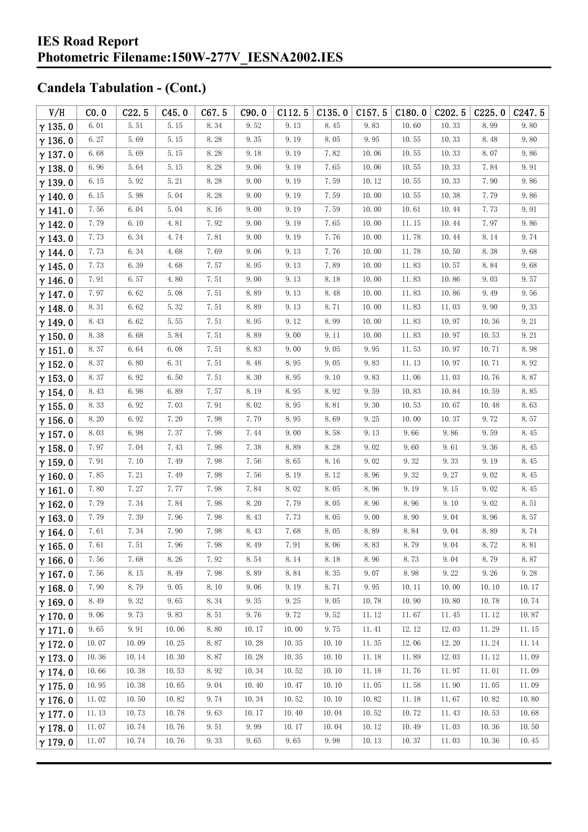| V/H            | CO.0  | C22.5 | C45.0 | C67.5 | C90.0 | C112.5 | C135.0 | C157.5 | C180.0 | C <sub>2</sub> 02.5 | C225.0 | C247.5 |
|----------------|-------|-------|-------|-------|-------|--------|--------|--------|--------|---------------------|--------|--------|
| $\gamma$ 135.0 | 6.01  | 5.51  | 5.15  | 8.34  | 9.52  | 9.13   | 8.45   | 9.83   | 10.60  | 10.33               | 8.99   | 9.80   |
| $\gamma$ 136.0 | 6.27  | 5.69  | 5.15  | 8.28  | 9.35  | 9.19   | 8.05   | 9.95   | 10.55  | 10.33               | 8.48   | 9.80   |
| $\gamma$ 137.0 | 6.68  | 5.69  | 5.15  | 8.28  | 9.18  | 9.19   | 7.82   | 10.06  | 10.55  | 10.33               | 8.07   | 9.86   |
| $\gamma$ 138.0 | 6.96  | 5.64  | 5.15  | 8.28  | 9.06  | 9.19   | 7.65   | 10.06  | 10.55  | 10.33               | 7.84   | 9.91   |
| $\gamma$ 139.0 | 6.15  | 5.92  | 5.21  | 8.28  | 9.00  | 9.19   | 7.59   | 10.12  | 10.55  | 10.33               | 7.90   | 9.86   |
| $\gamma$ 140.0 | 6.15  | 5.98  | 5.04  | 8.28  | 9.00  | 9.19   | 7.59   | 10.00  | 10.55  | 10.38               | 7.79   | 9.86   |
| $\gamma$ 141.0 | 7.56  | 6.04  | 5.04  | 8.16  | 9.00  | 9.19   | 7.59   | 10.00  | 10.61  | 10.44               | 7.73   | 9.91   |
| $\gamma$ 142.0 | 7.79  | 6.10  | 4.81  | 7.92  | 9.00  | 9.19   | 7.65   | 10.00  | 11.15  | 10.44               | 7.97   | 9.86   |
| $\gamma$ 143.0 | 7.73  | 6.34  | 4.74  | 7.81  | 9.00  | 9.19   | 7.76   | 10.00  | 11.78  | 10.44               | 8.14   | 9.74   |
| $\gamma$ 144.0 | 7.73  | 6.34  | 4.68  | 7.69  | 9.06  | 9.13   | 7.76   | 10.00  | 11.78  | 10.50               | 8.38   | 9.68   |
| $\gamma$ 145.0 | 7.73  | 6.39  | 4.68  | 7.57  | 8.95  | 9.13   | 7.89   | 10.00  | 11.83  | 10.57               | 8.84   | 9.68   |
| $\gamma$ 146.0 | 7.91  | 6.57  | 4.80  | 7.51  | 9.00  | 9.13   | 8.18   | 10.00  | 11.83  | 10.86               | 9.03   | 9.57   |
| $\gamma$ 147.0 | 7.97  | 6.62  | 5.08  | 7.51  | 8.89  | 9.13   | 8.48   | 10.00  | 11.83  | 10.86               | 9.49   | 9.56   |
| $\gamma$ 148.0 | 8.31  | 6.62  | 5.32  | 7.51  | 8.89  | 9.13   | 8.71   | 10.00  | 11.83  | 11.03               | 9.90   | 9.33   |
| $\gamma$ 149.0 | 8.43  | 6.62  | 5.55  | 7.51  | 8.95  | 9.12   | 8.99   | 10.00  | 11.83  | 10.97               | 10.36  | 9.21   |
| $\gamma$ 150.0 | 8.38  | 6.68  | 5.84  | 7.51  | 8.89  | 9.00   | 9.11   | 10.00  | 11.83  | 10.97               | 10.53  | 9.21   |
| $\gamma$ 151.0 | 8.37  | 6.64  | 6.08  | 7.51  | 8.83  | 9.00   | 9.05   | 9.95   | 11.53  | 10.97               | 10.71  | 8.98   |
| $\gamma$ 152.0 | 8.37  | 6.80  | 6.31  | 7.51  | 8.48  | 8.95   | 9.05   | 9.83   | 11.13  | 10.97               | 10.71  | 8.92   |
| $\gamma$ 153.0 | 8.37  | 6.92  | 6.50  | 7.51  | 8.30  | 8.95   | 9.10   | 9.83   | 11.06  | 11.03               | 10.76  | 8.87   |
| $\gamma$ 154.0 | 8.43  | 6.98  | 6.89  | 7.57  | 8.19  | 8.95   | 8.92   | 9.59   | 10.83  | 10.84               | 10.59  | 8.85   |
| $\gamma$ 155.0 | 8.33  | 6.92  | 7.03  | 7.91  | 8.02  | 8.95   | 8.81   | 9.30   | 10.53  | 10.67               | 10.48  | 8.63   |
| $\gamma$ 156.0 | 8.20  | 6.92  | 7.20  | 7.98  | 7.79  | 8.95   | 8.69   | 9.25   | 10.00  | 10.37               | 9.72   | 8.57   |
| $\gamma$ 157.0 | 8.03  | 6.98  | 7.37  | 7.98  | 7.44  | 9.00   | 8.58   | 9.13   | 9.66   | 9.86                | 9.59   | 8.45   |
| $\gamma$ 158.0 | 7.97  | 7.04  | 7.43  | 7.98  | 7.38  | 8.89   | 8.28   | 9.02   | 9.60   | 9.61                | 9.36   | 8.45   |
| $\gamma$ 159.0 | 7.91  | 7.10  | 7.49  | 7.98  | 7.56  | 8.65   | 8.16   | 9.02   | 9.32   | 9.33                | 9.19   | 8.45   |
| $\gamma$ 160.0 | 7.85  | 7.21  | 7.49  | 7.98  | 7.56  | 8.19   | 8.12   | 8.96   | 9.32   | 9.27                | 9.02   | 8.45   |
| $\gamma$ 161.0 | 7.80  | 7.27  | 7.77  | 7.98  | 7.84  | 8.02   | 8.05   | 8.96   | 9.19   | 9.15                | 9.02   | 8.45   |
| $\gamma$ 162.0 | 7.79  | 7.34  | 7.84  | 7.98  | 8.20  | 7.79   | 8.05   | 8.96   | 8.96   | 9.10                | 9.02   | 8.51   |
| $\gamma$ 163.0 | 7.79  | 7.39  | 7.96  | 7.98  | 8.43  | 7.73   | 8.05   | 9.00   | 8.90   | 9.04                | 8.96   | 8.57   |
| $\gamma$ 164.0 | 7.61  | 7.34  | 7.90  | 7.98  | 8.43  | 7.68   | 8.05   | 8.89   | 8.84   | 9.04                | 8.89   | 8.74   |
| $\gamma$ 165.0 | 7.61  | 7.51  | 7.96  | 7.98  | 8.49  | 7.91   | 8.06   | 8.83   | 8.79   | 9.04                | 8.72   | 8.81   |
| $\gamma$ 166.0 | 7.56  | 7.68  | 8.26  | 7.92  | 8.54  | 8.14   | 8.18   | 8.96   | 8.73   | 9.04                | 8.79   | 8.87   |
| $\gamma$ 167.0 | 7.56  | 8.15  | 8.49  | 7.98  | 8.89  | 8.84   | 8.35   | 9.07   | 8.98   | 9.22                | 9.26   | 9.28   |
| $\gamma$ 168.0 | 7.90  | 8.79  | 9.05  | 8.10  | 9.06  | 9.19   | 8.71   | 9.95   | 10.11  | 10.00               | 10.10  | 10.17  |
| $\gamma$ 169.0 | 8.49  | 9.32  | 9.65  | 8.34  | 9.35  | 9.25   | 9.05   | 10.78  | 10.90  | 10.80               | 10.78  | 10.74  |
| $\gamma$ 170.0 | 9.06  | 9.73  | 9.83  | 8.51  | 9.76  | 9.72   | 9.52   | 11.12  | 11.67  | 11.45               | 11.12  | 10.87  |
| $\gamma$ 171.0 | 9.65  | 9.91  | 10.06 | 8.80  | 10.17 | 10.00  | 9.75   | 11.41  | 12.12  | 12.03               | 11.29  | 11.15  |
| $\gamma$ 172.0 | 10.07 | 10.09 | 10.25 | 8.87  | 10.28 | 10.35  | 10.10  | 11.35  | 12.06  | 12.20               | 11.24  | 11.14  |
| $\gamma$ 173.0 | 10.36 | 10.14 | 10.30 | 8.87  | 10.28 | 10.35  | 10.10  | 11.18  | 11.89  | 12.03               | 11.12  | 11.09  |
| $\gamma$ 174.0 | 10.66 | 10.38 | 10.53 | 8.92  | 10.34 | 10.52  | 10.10  | 11.18  | 11.76  | 11.97               | 11.01  | 11.09  |
| $\gamma$ 175.0 | 10.95 | 10.38 | 10.65 | 9.04  | 10.40 | 10.47  | 10.10  | 11.05  | 11.58  | 11.90               | 11.05  | 11.09  |
| $\gamma$ 176.0 | 11.02 | 10.50 | 10.82 | 9.74  | 10.34 | 10.52  | 10.10  | 10.82  | 11.18  | 11.67               | 10.82  | 10.80  |
| $\gamma$ 177.0 | 11.13 | 10.73 | 10.78 | 9.63  | 10.17 | 10.40  | 10.04  | 10.52  | 10.72  | 11.43               | 10.53  | 10.68  |
| $\gamma$ 178.0 | 11.07 | 10.74 | 10.76 | 9.51  | 9.99  | 10.17  | 10.04  | 10.12  | 10.49  | 11.03               | 10.36  | 10.50  |
| $\gamma$ 179.0 | 11.07 | 10.74 | 10.76 | 9.33  | 9.65  | 9.65   | 9.98   | 10.13  | 10.37  | 11.03               | 10.36  | 10.45  |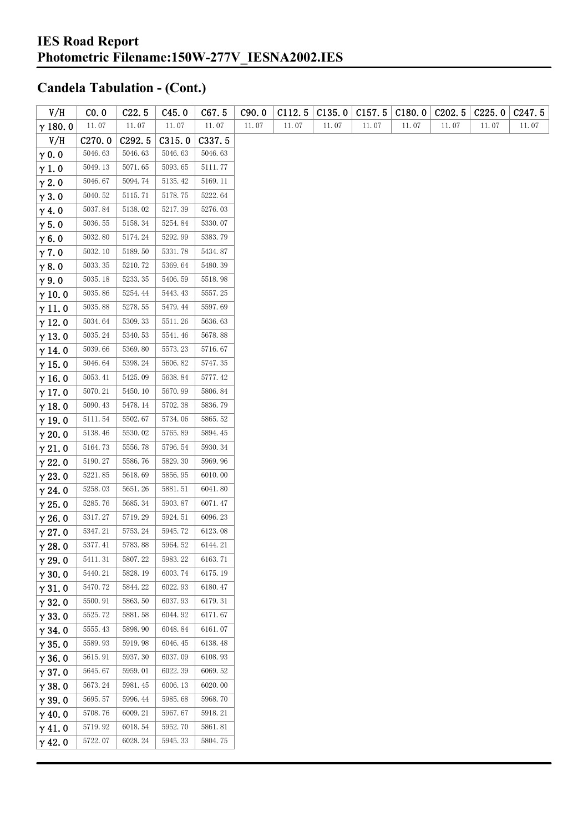| V/H            | CO. 0        | C22.5   | C45.0   | C67.5   | C90.0 | C112.5 | C135.0 | C157.5 | C180.0 | C <sub>2</sub> 02.5 | C225.0 | C247.5 |
|----------------|--------------|---------|---------|---------|-------|--------|--------|--------|--------|---------------------|--------|--------|
| $\gamma$ 180.0 | $11.\,\, 07$ | 11.07   | 11.07   | 11.07   | 11.07 | 11.07  | 11.07  | 11.07  | 11.07  | 11.07               | 11.07  | 11.07  |
| V/H            | C270.0       | C292.5  | C315.0  | C337.5  |       |        |        |        |        |                     |        |        |
| $\gamma$ 0.0   | 5046.63      | 5046.63 | 5046.63 | 5046.63 |       |        |        |        |        |                     |        |        |
| $\gamma$ 1.0   | 5049.13      | 5071.65 | 5093.65 | 5111.77 |       |        |        |        |        |                     |        |        |
| $\gamma$ 2.0   | 5046.67      | 5094.74 | 5135.42 | 5169.11 |       |        |        |        |        |                     |        |        |
| $\gamma$ 3.0   | 5040.52      | 5115.71 | 5178.75 | 5222.64 |       |        |        |        |        |                     |        |        |
| $\gamma$ 4.0   | 5037.84      | 5138.02 | 5217.39 | 5276.03 |       |        |        |        |        |                     |        |        |
| $\gamma$ 5.0   | 5036.55      | 5158.34 | 5254.84 | 5330.07 |       |        |        |        |        |                     |        |        |
| $\gamma$ 6.0   | 5032.80      | 5174.24 | 5292.99 | 5383.79 |       |        |        |        |        |                     |        |        |
| $\gamma$ 7.0   | 5032.10      | 5189.50 | 5331.78 | 5434.87 |       |        |        |        |        |                     |        |        |
| $\gamma$ 8.0   | 5033.35      | 5210.72 | 5369.64 | 5480.39 |       |        |        |        |        |                     |        |        |
| $\gamma$ 9.0   | 5035.18      | 5233.35 | 5406.59 | 5518.98 |       |        |        |        |        |                     |        |        |
| $\gamma$ 10.0  | 5035.86      | 5254.44 | 5443.43 | 5557.25 |       |        |        |        |        |                     |        |        |
| $\gamma$ 11.0  | 5035.88      | 5278.55 | 5479.44 | 5597.69 |       |        |        |        |        |                     |        |        |
| $\gamma$ 12.0  | 5034.64      | 5309.33 | 5511.26 | 5636.63 |       |        |        |        |        |                     |        |        |
| $\gamma$ 13.0  | 5035.24      | 5340.53 | 5541.46 | 5678.88 |       |        |        |        |        |                     |        |        |
| $\gamma$ 14.0  | 5039.66      | 5369.80 | 5573.23 | 5716.67 |       |        |        |        |        |                     |        |        |
| $\gamma$ 15.0  | 5046.64      | 5398.24 | 5606.82 | 5747.35 |       |        |        |        |        |                     |        |        |
| $\gamma$ 16.0  | 5053.41      | 5425.09 | 5638.84 | 5777.42 |       |        |        |        |        |                     |        |        |
| $\gamma$ 17.0  | 5070.21      | 5450.10 | 5670.99 | 5806.84 |       |        |        |        |        |                     |        |        |
| $\gamma$ 18.0  | 5090.43      | 5478.14 | 5702.38 | 5836.79 |       |        |        |        |        |                     |        |        |
| $\gamma$ 19.0  | 5111.54      | 5502.67 | 5734.06 | 5865.52 |       |        |        |        |        |                     |        |        |
| $\gamma$ 20.0  | 5138.46      | 5530.02 | 5765.89 | 5894.45 |       |        |        |        |        |                     |        |        |
| $\gamma$ 21.0  | 5164.73      | 5556.78 | 5796.54 | 5930.34 |       |        |        |        |        |                     |        |        |
| $\gamma$ 22.0  | 5190.27      | 5586.76 | 5829.30 | 5969.96 |       |        |        |        |        |                     |        |        |
| $\gamma$ 23.0  | 5221.85      | 5618.69 | 5856.95 | 6010.00 |       |        |        |        |        |                     |        |        |
| $\gamma$ 24.0  | 5258.03      | 5651.26 | 5881.51 | 6041.80 |       |        |        |        |        |                     |        |        |
| $\gamma$ 25.0  | 5285.76      | 5685.34 | 5903.87 | 6071.47 |       |        |        |        |        |                     |        |        |
| $\gamma$ 26.0  | 5317.27      | 5719.29 | 5924.51 | 6096.23 |       |        |        |        |        |                     |        |        |
| $\gamma$ 27.0  | 5347.21      | 5753.24 | 5945.72 | 6123.08 |       |        |        |        |        |                     |        |        |
| $\gamma$ 28.0  | 5377.41      | 5783.88 | 5964.52 | 6144.21 |       |        |        |        |        |                     |        |        |
| $\gamma$ 29.0  | 5411.31      | 5807.22 | 5983.22 | 6163.71 |       |        |        |        |        |                     |        |        |
| $\gamma$ 30.0  | 5440.21      | 5828.19 | 6003.74 | 6175.19 |       |        |        |        |        |                     |        |        |
| $\gamma$ 31.0  | 5470.72      | 5844.22 | 6022.93 | 6180.47 |       |        |        |        |        |                     |        |        |
| $\gamma$ 32.0  | 5500.91      | 5863.50 | 6037.93 | 6179.31 |       |        |        |        |        |                     |        |        |
| $\gamma$ 33.0  | 5525.72      | 5881.58 | 6044.92 | 6171.67 |       |        |        |        |        |                     |        |        |
| $\gamma$ 34.0  | 5555.43      | 5898.90 | 6048.84 | 6161.07 |       |        |        |        |        |                     |        |        |
| $\gamma$ 35.0  | 5589.93      | 5919.98 | 6046.45 | 6138.48 |       |        |        |        |        |                     |        |        |
| $\gamma$ 36.0  | 5615.91      | 5937.30 | 6037.09 | 6108.93 |       |        |        |        |        |                     |        |        |
| $\gamma$ 37.0  | 5645.67      | 5959.01 | 6022.39 | 6069.52 |       |        |        |        |        |                     |        |        |
| $\gamma$ 38.0  | 5673.24      | 5981.45 | 6006.13 | 6020.00 |       |        |        |        |        |                     |        |        |
| $\gamma$ 39.0  | 5695.57      | 5996.44 | 5985.68 | 5968.70 |       |        |        |        |        |                     |        |        |
| $\gamma$ 40.0  | 5708.76      | 6009.21 | 5967.67 | 5918.21 |       |        |        |        |        |                     |        |        |
| $\gamma$ 41.0  | 5719.92      | 6018.54 | 5952.70 | 5861.81 |       |        |        |        |        |                     |        |        |
| $\gamma$ 42.0  | 5722.07      | 6028.24 | 5945.33 | 5804.75 |       |        |        |        |        |                     |        |        |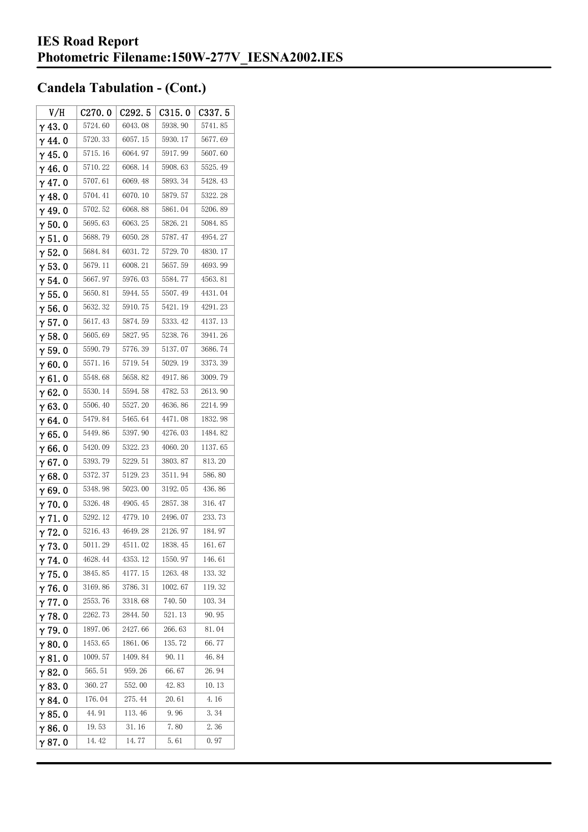| V/H            | C270.0  | C <sub>292.5</sub> | C315.0  | C337.5  |
|----------------|---------|--------------------|---------|---------|
| $\gamma$ 43.0  | 5724.60 | 6043.08            | 5938.90 | 5741.85 |
| $\gamma$ 44.0  | 5720.33 | 6057.15            | 5930.17 | 5677.69 |
| $\gamma$ 45. 0 | 5715.16 | 6064.97            | 5917.99 | 5607.60 |
| $\gamma$ 46. 0 | 5710.22 | 6068.14            | 5908.63 | 5525.49 |
| $\gamma$ 47.0  | 5707.61 | 6069.48            | 5893.34 | 5428.43 |
| $\gamma$ 48.0  | 5704.41 | 6070.10            | 5879.57 | 5322.28 |
| $\gamma$ 49.0  | 5702.52 | 6068.88            | 5861.04 | 5206.89 |
| $\gamma$ 50.0  | 5695.63 | 6063.25            | 5826.21 | 5084.85 |
| $\gamma$ 51.0  | 5688.79 | 6050.28            | 5787.47 | 4954.27 |
| $\gamma$ 52.0  | 5684.84 | 6031.72            | 5729.70 | 4830.17 |
| $\gamma$ 53.0  | 5679.11 | 6008.21            | 5657.59 | 4693.99 |
| $\gamma$ 54.0  | 5667.97 | 5976.03            | 5584.77 | 4563.81 |
| $\gamma$ 55.0  | 5650.81 | 5944.55            | 5507.49 | 4431.04 |
| γ56.0          | 5632.32 | 5910.75            | 5421.19 | 4291.23 |
| $\gamma$ 57.0  | 5617.43 | 5874.59            | 5333.42 | 4137.13 |
| $\gamma$ 58.0  | 5605.69 | 5827.95            | 5238.76 | 3941.26 |
| $\gamma$ 59.0  | 5590.79 | 5776.39            | 5137.07 | 3686.74 |
| $\gamma$ 60.0  | 5571.16 | 5719.54            | 5029.19 | 3373.39 |
| $\gamma$ 61.0  | 5548.68 | 5658.82            | 4917.86 | 3009.79 |
| $\gamma$ 62.0  | 5530.14 | 5594.58            | 4782.53 | 2613.90 |
| $\gamma$ 63. 0 | 5506.40 | 5527.20            | 4636.86 | 2214.99 |
| $\gamma$ 64.0  | 5479.84 | 5465.64            | 4471.08 | 1832.98 |
| $\gamma$ 65.0  | 5449.86 | 5397.90            | 4276.03 | 1484.82 |
| $\gamma$ 66.0  | 5420.09 | 5322.23            | 4060.20 | 1137.65 |
| $\gamma$ 67. 0 | 5393.79 | 5229.51            | 3803.87 | 813.20  |
| $\gamma$ 68.0  | 5372.37 | 5129.23            | 3511.94 | 586.80  |
| $\gamma$ 69.0  | 5348.98 | 5023.00            | 3192.05 | 436.86  |
| $\gamma$ 70.0  | 5326.48 | 4905.45            | 2857.38 | 316.47  |
| $\gamma$ 71.0  | 5292.12 | 4779.10            | 2496.07 | 233.73  |
| $\gamma$ 72.0  | 5216.43 | 4649.28            | 2126.97 | 184.97  |
| $\gamma$ 73.0  | 5011.29 | 4511.02            | 1838.45 | 161.67  |
| $\gamma$ 74. 0 | 4628.44 | 4353.12            | 1550.97 | 146.61  |
| $\gamma$ 75.0  | 3845.85 | 4177.15            | 1263.48 | 133.32  |
| $\gamma$ 76.0  | 3169.86 | 3786.31            | 1002.67 | 119.32  |
| $\gamma$ 77.0  | 2553.76 | 3318.68            | 740.50  | 103.34  |
| $\gamma$ 78.0  | 2262.73 | 2844.50            | 521.13  | 90.95   |
| $\gamma$ 79.0  | 1897.06 | 2427.66            | 266.63  | 81.04   |
| $\gamma$ 80.0  | 1453.65 | 1861.06            | 135.72  | 66.77   |
| $\gamma$ 81.0  | 1009.57 | 1409.84            | 90. 11  | 46.84   |
| $\gamma$ 82.0  | 565.51  | 959.26             | 66.67   | 26.94   |
| $\gamma$ 83.0  | 360.27  | 552.00             | 42.83   | 10.13   |
| $\gamma$ 84.0  | 176.04  | 275.44             | 20.61   | 4.16    |
| $\gamma$ 85.0  | 44.91   | 113.46             | 9.96    | 3.34    |
| $\gamma$ 86.0  | 19.53   | 31.16              | 7.80    | 2.36    |
| γ87.0          | 14.42   | 14.77              | 5.61    | 0.97    |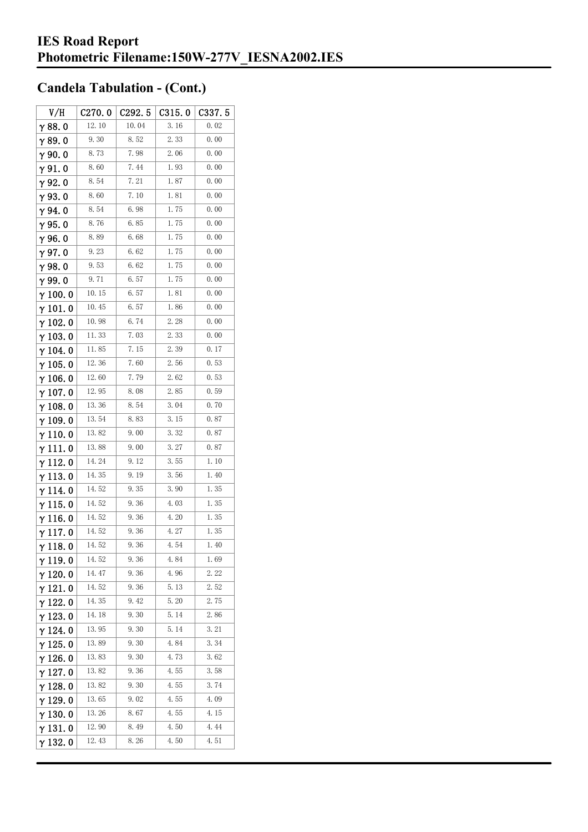| V/H             | C270.0 | C292.5 | C315.0 | C337.5 |
|-----------------|--------|--------|--------|--------|
| $\gamma$ 88.0   | 12.10  | 10.04  | 3.16   | 0.02   |
| $\gamma$ 89.0   | 9.30   | 8.52   | 2.33   | 0.00   |
| $\gamma$ 90.0   | 8.73   | 7.98   | 2.06   | 0.00   |
| $\gamma$ 91.0   | 8.60   | 7.44   | 1.93   | 0.00   |
| $\gamma$ 92.0   | 8.54   | 7.21   | 1.87   | 0.00   |
| $\gamma$ 93.0   | 8.60   | 7.10   | 1.81   | 0.00   |
| $\gamma$ 94. 0  | 8.54   | 6.98   | 1.75   | 0.00   |
| $\gamma$ 95.0   | 8.76   | 6.85   | 1.75   | 0.00   |
| $\gamma$ 96.0   | 8.89   | 6.68   | 1.75   | 0.00   |
| $\gamma$ 97.0   | 9.23   | 6.62   | 1.75   | 0.00   |
| γ98.0           | 9.53   | 6.62   | 1.75   | 0.00   |
| $\gamma$ 99.0   | 9.71   | 6.57   | 1.75   | 0.00   |
| $\gamma$ 100.0  | 10.15  | 6.57   | 1.81   | 0.00   |
| $\gamma$ 101. 0 | 10.45  | 6.57   | 1.86   | 0.00   |
| $\gamma$ 102. 0 | 10.98  | 6.74   | 2.28   | 0.00   |
| $\gamma$ 103.0  | 11.33  | 7.03   | 2.33   | 0.00   |
| $\gamma$ 104. 0 | 11.85  | 7.15   | 2.39   | 0.17   |
| $\gamma$ 105. 0 | 12.36  | 7.60   | 2.56   | 0.53   |
| $\gamma$ 106.0  | 12.60  | 7.79   | 2.62   | 0.53   |
| $\gamma$ 107. 0 | 12.95  | 8.08   | 2.85   | 0.59   |
| $\gamma$ 108. 0 | 13.36  | 8.54   | 3.04   | 0.70   |
| $\gamma$ 109. 0 | 13.54  | 8.83   | 3.15   | 0.87   |
| $\gamma$ 110.0  | 13.82  | 9.00   | 3.32   | 0.87   |
| γ111.0          | 13.88  | 9.00   | 3.27   | 0.87   |
| $\gamma$ 112.0  | 14.24  | 9.12   | 3.55   | 1.10   |
| $\gamma$ 113.0  | 14.35  | 9.19   | 3.56   | 1.40   |
| $\gamma$ 114.0  | 14.52  | 9.35   | 3.90   | 1.35   |
| $\gamma$ 115.0  | 14.52  | 9.36   | 4.03   | 1.35   |
| $\gamma$ 116. 0 | 14.52  | 9.36   | 4.20   | 1.35   |
| $\gamma$ 117.0  | 14.52  | 9.36   | 4.27   | 1.35   |
| $\gamma$ 118. 0 | 14.52  | 9.36   | 4.54   | 1.40   |
| γ119.0          | 14.52  | 9.36   | 4.84   | 1.69   |
| γ 120. 0        | 14.47  | 9.36   | 4.96   | 2.22   |
| $\gamma$ 121. 0 | 14.52  | 9.36   | 5.13   | 2.52   |
| $\gamma$ 122.0  | 14.35  | 9.42   | 5.20   | 2.75   |
| $\gamma$ 123. 0 | 14.18  | 9.30   | 5.14   | 2.86   |
| $\gamma$ 124.0  | 13.95  | 9.30   | 5.14   | 3.21   |
| $\gamma$ 125.0  | 13.89  | 9.30   | 4.84   | 3.34   |
| $\gamma$ 126. 0 | 13.83  | 9.30   | 4.73   | 3.62   |
| $\gamma$ 127. 0 | 13.82  | 9.36   | 4.55   | 3.58   |
| $\gamma$ 128.0  | 13.82  | 9.30   | 4.55   | 3.74   |
| $\gamma$ 129. 0 | 13.65  | 9.02   | 4.55   | 4.09   |
| $\gamma$ 130. 0 | 13.26  | 8.67   | 4.55   | 4.15   |
| γ131.0          | 12.90  | 8.49   | 4.50   | 4.44   |
| γ132.0          | 12.43  | 8.26   | 4.50   | 4.51   |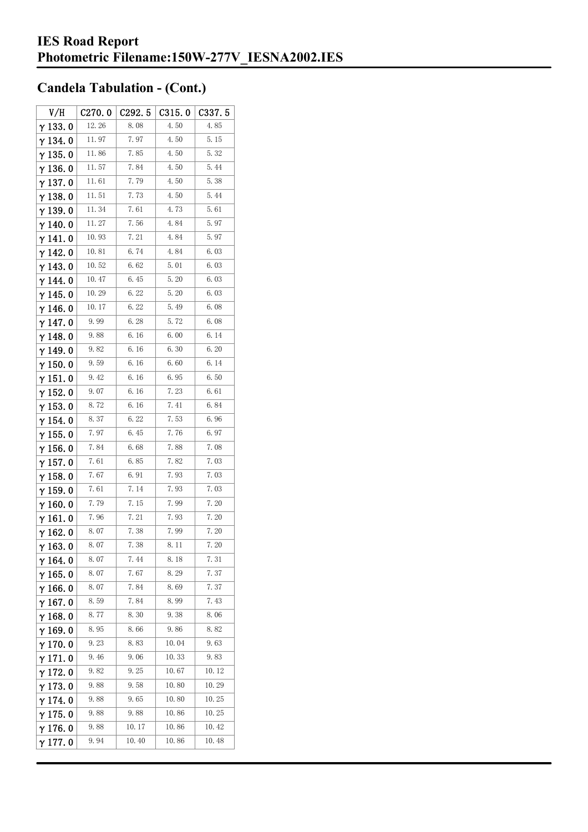| V/H             | C270.0 | C292.5 | C315.0 | C337. 5 |
|-----------------|--------|--------|--------|---------|
| $\gamma$ 133. 0 | 12.26  | 8.08   | 4.50   | 4.85    |
| γ134.0          | 11.97  | 7.97   | 4.50   | 5.15    |
| $\gamma$ 135. 0 | 11.86  | 7.85   | 4.50   | 5.32    |
| $\gamma$ 136. 0 | 11.57  | 7.84   | 4.50   | 5.44    |
| γ137.0          | 11.61  | 7.79   | 4.50   | 5.38    |
| $\gamma$ 138. 0 | 11.51  | 7.73   | 4.50   | 5.44    |
| γ139.0          | 11.34  | 7.61   | 4.73   | 5.61    |
| $\gamma$ 140. 0 | 11.27  | 7.56   | 4.84   | 5.97    |
| $\gamma$ 141. 0 | 10.93  | 7. 21  | 4.84   | 5.97    |
| $\gamma$ 142.0  | 10.81  | 6.74   | 4.84   | 6.03    |
| $\gamma$ 143.0  | 10.52  | 6. 62  | 5.01   | 6.03    |
| γ 144. 0        | 10.47  | 6.45   | 5.20   | 6.03    |
| γ 145. 0        | 10.29  | 6.22   | 5.20   | 6.03    |
| $\gamma$ 146.0  | 10.17  | 6.22   | 5.49   | 6.08    |
| $\gamma$ 147. 0 | 9.99   | 6.28   | 5.72   | 6.08    |
| γ148.0          | 9.88   | 6. 16  | 6.00   | 6. 14   |
| $\gamma$ 149. 0 | 9.82   | 6.16   | 6.30   | 6.20    |
| $\gamma$ 150.0  | 9.59   | 6.16   | 6.60   | 6.14    |
| $\gamma$ 151. 0 | 9.42   | 6. 16  | 6.95   | 6.50    |
| $\gamma$ 152.0  | 9.07   | 6. 16  | 7.23   | 6.61    |
| $\gamma$ 153. 0 | 8.72   | 6.16   | 7.41   | 6.84    |
| $\gamma$ 154. 0 | 8.37   | 6.22   | 7.53   | 6.96    |
| $\gamma$ 155. 0 | 7.97   | 6.45   | 7.76   | 6.97    |
| $\gamma$ 156. 0 | 7.84   | 6.68   | 7.88   | 7.08    |
| $\gamma$ 157. 0 | 7.61   | 6.85   | 7.82   | 7.03    |
| $\gamma$ 158. 0 | 7.67   | 6.91   | 7.93   | 7.03    |
| $\gamma$ 159. 0 | 7.61   | 7.14   | 7.93   | 7.03    |
| $\gamma$ 160. 0 | 7.79   | 7. 15  | 7.99   | 7.20    |
| γ161.0          | 7.96   | 7.21   | 7.93   | 7.20    |
| $\gamma$ 162.0  | 8.07   | 7.38   | 7.99   | 7.20    |
| $\gamma$ 163.0  | 8.07   | 7.38   | 8. 11  | 7.20    |
| $\gamma$ 164. 0 | 8.07   | 7.44   | 8.18   | 7.31    |
| $\gamma$ 165.0  | 8.07   | 7.67   | 8.29   | 7.37    |
| $\gamma$ 166.0  | 8.07   | 7.84   | 8.69   | 7.37    |
| $\gamma$ 167. 0 | 8.59   | 7.84   | 8.99   | 7.43    |
| $\gamma$ 168.0  | 8.77   | 8.30   | 9.38   | 8.06    |
| $\gamma$ 169. 0 | 8.95   | 8.66   | 9.86   | 8.82    |
| $\gamma$ 170. 0 | 9.23   | 8.83   | 10.04  | 9.63    |
| $\gamma$ 171.0  | 9.46   | 9.06   | 10.33  | 9.83    |
| $\gamma$ 172.0  | 9.82   | 9.25   | 10.67  | 10.12   |
| $\gamma$ 173. 0 | 9.88   | 9.58   | 10.80  | 10.29   |
| γ 174. 0        | 9.88   | 9.65   | 10.80  | 10.25   |
| $\gamma$ 175. 0 | 9.88   | 9.88   | 10.86  | 10.25   |
| $\gamma$ 176.0  | 9.88   | 10.17  | 10.86  | 10.42   |
| $\gamma$ 177. 0 | 9.94   | 10.40  | 10.86  | 10.48   |